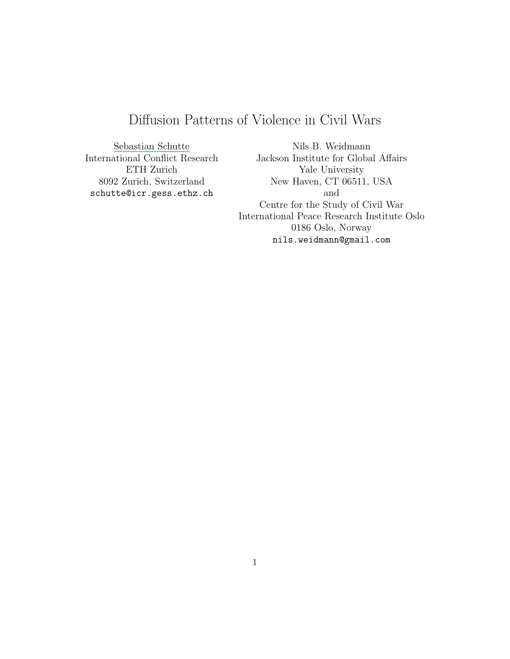# Diffusion Patterns of Violence in Civil Wars

[Sebastian Schutte](https://www.researchgate.net/profile/Sebastian_Schutte?el=1_x_100&enrichId=rgreq-f926c4651b556490546955b65891280c-XXX&enrichSource=Y292ZXJQYWdlOzIyOTQwMDAwMztBUzoxMDM5ODk0NDE5OTA2NThAMTQwMTgwNDQyMzI4NA==) International Conflict Research ETH Zurich 8092 Zurich, Switzerland schutte@icr.gess.ethz.ch

Nils B. Weidmann Jackson Institute for Global Affairs Yale University New Haven, CT 06511, USA and Centre for the Study of Civil War International Peace Research Institute Oslo 0186 Oslo, Norway nils.weidmann@gmail.com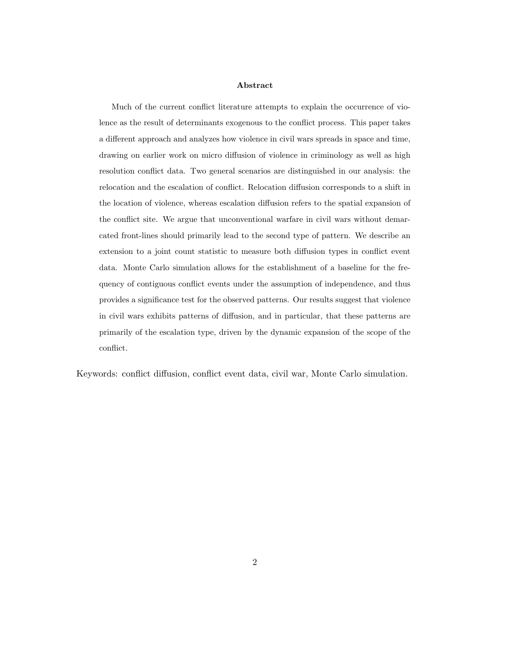#### Abstract

Much of the current conflict literature attempts to explain the occurrence of violence as the result of determinants exogenous to the conflict process. This paper takes a different approach and analyzes how violence in civil wars spreads in space and time, drawing on earlier work on micro diffusion of violence in criminology as well as high resolution conflict data. Two general scenarios are distinguished in our analysis: the relocation and the escalation of conflict. Relocation diffusion corresponds to a shift in the location of violence, whereas escalation diffusion refers to the spatial expansion of the conflict site. We argue that unconventional warfare in civil wars without demarcated front-lines should primarily lead to the second type of pattern. We describe an extension to a joint count statistic to measure both diffusion types in conflict event data. Monte Carlo simulation allows for the establishment of a baseline for the frequency of contiguous conflict events under the assumption of independence, and thus provides a significance test for the observed patterns. Our results suggest that violence in civil wars exhibits patterns of diffusion, and in particular, that these patterns are primarily of the escalation type, driven by the dynamic expansion of the scope of the conflict.

Keywords: conflict diffusion, conflict event data, civil war, Monte Carlo simulation.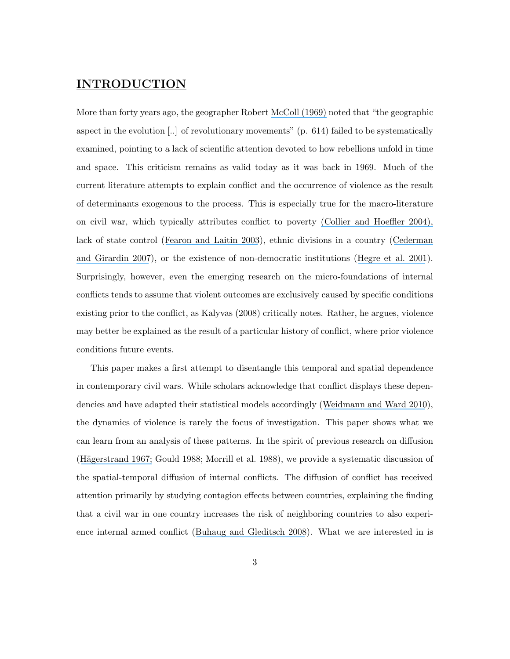# INTRODUCTION

More than forty years ago, the geographer Robert [McColl \(1969\)](https://www.researchgate.net/publication/232913516_The_Insurgent_State_Territorial_Bases_of_Revolution?el=1_x_8&enrichId=rgreq-f926c4651b556490546955b65891280c-XXX&enrichSource=Y292ZXJQYWdlOzIyOTQwMDAwMztBUzoxMDM5ODk0NDE5OTA2NThAMTQwMTgwNDQyMzI4NA==) noted that "the geographic aspect in the evolution [..] of revolutionary movements" (p. 614) failed to be systematically examined, pointing to a lack of scientific attention devoted to how rebellions unfold in time and space. This criticism remains as valid today as it was back in 1969. Much of the current literature attempts to explain conflict and the occurrence of violence as the result of determinants exogenous to the process. This is especially true for the macro-literature on civil war, which typically attributes conflict to poverty [\(Collier and Hoeffler 2004\),](https://www.researchgate.net/publication/274018388_Greed_and_Grievance_in_Civil_War?el=1_x_8&enrichId=rgreq-f926c4651b556490546955b65891280c-XXX&enrichSource=Y292ZXJQYWdlOzIyOTQwMDAwMztBUzoxMDM5ODk0NDE5OTA2NThAMTQwMTgwNDQyMzI4NA==) lack of state control ([Fearon and Laitin 2003](https://www.researchgate.net/publication/2834579_Ethnicity_Insurgency_And_Civil_War?el=1_x_8&enrichId=rgreq-f926c4651b556490546955b65891280c-XXX&enrichSource=Y292ZXJQYWdlOzIyOTQwMDAwMztBUzoxMDM5ODk0NDE5OTA2NThAMTQwMTgwNDQyMzI4NA==)), ethnic divisions in a country ([Cederman](https://www.researchgate.net/publication/231843337_Beyond_Fractionalization_Mapping_Ethnicity_Onto_Nationalist_Insurgencies?el=1_x_8&enrichId=rgreq-f926c4651b556490546955b65891280c-XXX&enrichSource=Y292ZXJQYWdlOzIyOTQwMDAwMztBUzoxMDM5ODk0NDE5OTA2NThAMTQwMTgwNDQyMzI4NA==) [and Girardin 2007](https://www.researchgate.net/publication/231843337_Beyond_Fractionalization_Mapping_Ethnicity_Onto_Nationalist_Insurgencies?el=1_x_8&enrichId=rgreq-f926c4651b556490546955b65891280c-XXX&enrichSource=Y292ZXJQYWdlOzIyOTQwMDAwMztBUzoxMDM5ODk0NDE5OTA2NThAMTQwMTgwNDQyMzI4NA==)), or the existence of non-democratic institutions ([Hegre et al. 2001](https://www.researchgate.net/publication/282197404_Toward_a_Democratic_Civil_Peace_Democracy_Political_Change_and_Civil_War_1816-1992?el=1_x_8&enrichId=rgreq-f926c4651b556490546955b65891280c-XXX&enrichSource=Y292ZXJQYWdlOzIyOTQwMDAwMztBUzoxMDM5ODk0NDE5OTA2NThAMTQwMTgwNDQyMzI4NA==)). Surprisingly, however, even the emerging research on the micro-foundations of internal conflicts tends to assume that violent outcomes are exclusively caused by specific conditions existing prior to the conflict, as Kalyvas (2008) critically notes. Rather, he argues, violence may better be explained as the result of a particular history of conflict, where prior violence conditions future events.

This paper makes a first attempt to disentangle this temporal and spatial dependence in contemporary civil wars. While scholars acknowledge that conflict displays these dependencies and have adapted their statistical models accordingly ([Weidmann and Ward 2010](https://www.researchgate.net/publication/227574305_Predicting_Conflict_in_Space_and_Time?el=1_x_8&enrichId=rgreq-f926c4651b556490546955b65891280c-XXX&enrichSource=Y292ZXJQYWdlOzIyOTQwMDAwMztBUzoxMDM5ODk0NDE5OTA2NThAMTQwMTgwNDQyMzI4NA==)), the dynamics of violence is rarely the focus of investigation. This paper shows what we can learn from an analysis of these patterns. In the spirit of previous research on diffusion (Hägerstrand 1967; Gould 1988; Morrill et al. 1988), we provide a systematic discussion of the spatial-temporal diffusion of internal conflicts. The diffusion of conflict has received attention primarily by studying contagion effects between countries, explaining the finding that a civil war in one country increases the risk of neighboring countries to also experience internal armed conflict ([Buhaug and Gleditsch 2008](https://www.researchgate.net/publication/229480737_Contagion_or_Confusion_Why_Conflicts_Cluster_in_Space?el=1_x_8&enrichId=rgreq-f926c4651b556490546955b65891280c-XXX&enrichSource=Y292ZXJQYWdlOzIyOTQwMDAwMztBUzoxMDM5ODk0NDE5OTA2NThAMTQwMTgwNDQyMzI4NA==)). What we are interested in is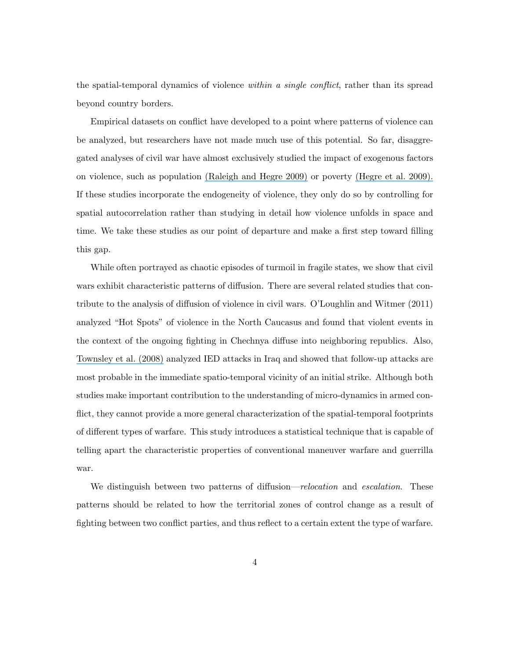the spatial-temporal dynamics of violence within a single conflict, rather than its spread beyond country borders.

Empirical datasets on conflict have developed to a point where patterns of violence can be analyzed, but researchers have not made much use of this potential. So far, disaggregated analyses of civil war have almost exclusively studied the impact of exogenous factors on violence, such as population [\(Raleigh and Hegre 2009\)](https://www.researchgate.net/publication/249728630_Poverty_and_Civil_War_Events?el=1_x_8&enrichId=rgreq-f926c4651b556490546955b65891280c-XXX&enrichSource=Y292ZXJQYWdlOzIyOTQwMDAwMztBUzoxMDM5ODk0NDE5OTA2NThAMTQwMTgwNDQyMzI4NA==) or poverty [\(Hegre et al. 2009\).](https://www.researchgate.net/publication/249728630_Poverty_and_Civil_War_Events?el=1_x_8&enrichId=rgreq-f926c4651b556490546955b65891280c-XXX&enrichSource=Y292ZXJQYWdlOzIyOTQwMDAwMztBUzoxMDM5ODk0NDE5OTA2NThAMTQwMTgwNDQyMzI4NA==) If these studies incorporate the endogeneity of violence, they only do so by controlling for spatial autocorrelation rather than studying in detail how violence unfolds in space and time. We take these studies as our point of departure and make a first step toward filling this gap.

While often portrayed as chaotic episodes of turmoil in fragile states, we show that civil wars exhibit characteristic patterns of diffusion. There are several related studies that contribute to the analysis of diffusion of violence in civil wars. O'Loughlin and Witmer (2011) analyzed "Hot Spots" of violence in the North Caucasus and found that violent events in the context of the ongoing fighting in Chechnya diffuse into neighboring republics. Also, [Townsley et al. \(2008\)](https://www.researchgate.net/publication/29468797_Space_Time_Dynamics_of_Insurgent_Activity_in_Iraq?el=1_x_8&enrichId=rgreq-f926c4651b556490546955b65891280c-XXX&enrichSource=Y292ZXJQYWdlOzIyOTQwMDAwMztBUzoxMDM5ODk0NDE5OTA2NThAMTQwMTgwNDQyMzI4NA==) analyzed IED attacks in Iraq and showed that follow-up attacks are most probable in the immediate spatio-temporal vicinity of an initial strike. Although both studies make important contribution to the understanding of micro-dynamics in armed conflict, they cannot provide a more general characterization of the spatial-temporal footprints of different types of warfare. This study introduces a statistical technique that is capable of telling apart the characteristic properties of conventional maneuver warfare and guerrilla war.

We distinguish between two patterns of diffusion—*relocation* and *escalation*. These patterns should be related to how the territorial zones of control change as a result of fighting between two conflict parties, and thus reflect to a certain extent the type of warfare.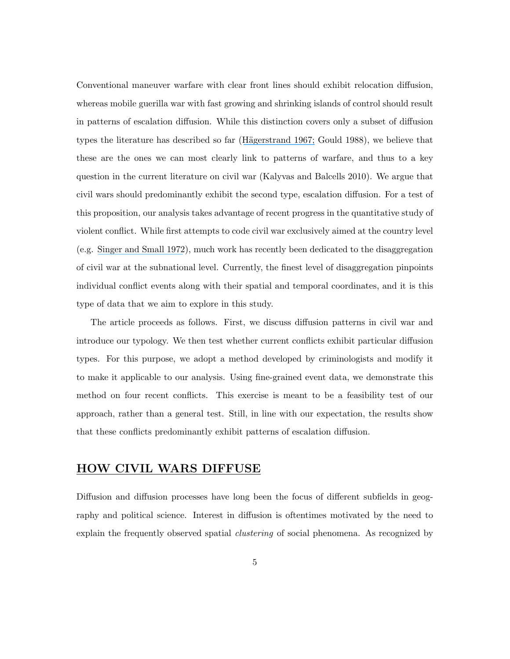Conventional maneuver warfare with clear front lines should exhibit relocation diffusion, whereas mobile guerilla war with fast growing and shrinking islands of control should result in patterns of escalation diffusion. While this distinction covers only a subset of diffusion types the literature has described so far (Hägerstrand 1967; Gould 1988), we believe that these are the ones we can most clearly link to patterns of warfare, and thus to a key question in the current literature on civil war (Kalyvas and Balcells 2010). We argue that civil wars should predominantly exhibit the second type, escalation diffusion. For a test of this proposition, our analysis takes advantage of recent progress in the quantitative study of violent conflict. While first attempts to code civil war exclusively aimed at the country level (e.g. [Singer and Small 1972](https://www.researchgate.net/publication/270299528_The_Wages_of_War_1816-1965_A_Statistical_Handbook?el=1_x_8&enrichId=rgreq-f926c4651b556490546955b65891280c-XXX&enrichSource=Y292ZXJQYWdlOzIyOTQwMDAwMztBUzoxMDM5ODk0NDE5OTA2NThAMTQwMTgwNDQyMzI4NA==)), much work has recently been dedicated to the disaggregation of civil war at the subnational level. Currently, the finest level of disaggregation pinpoints individual conflict events along with their spatial and temporal coordinates, and it is this type of data that we aim to explore in this study.

The article proceeds as follows. First, we discuss diffusion patterns in civil war and introduce our typology. We then test whether current conflicts exhibit particular diffusion types. For this purpose, we adopt a method developed by criminologists and modify it to make it applicable to our analysis. Using fine-grained event data, we demonstrate this method on four recent conflicts. This exercise is meant to be a feasibility test of our approach, rather than a general test. Still, in line with our expectation, the results show that these conflicts predominantly exhibit patterns of escalation diffusion.

# HOW CIVIL WARS DIFFUSE

Diffusion and diffusion processes have long been the focus of different subfields in geography and political science. Interest in diffusion is oftentimes motivated by the need to explain the frequently observed spatial *clustering* of social phenomena. As recognized by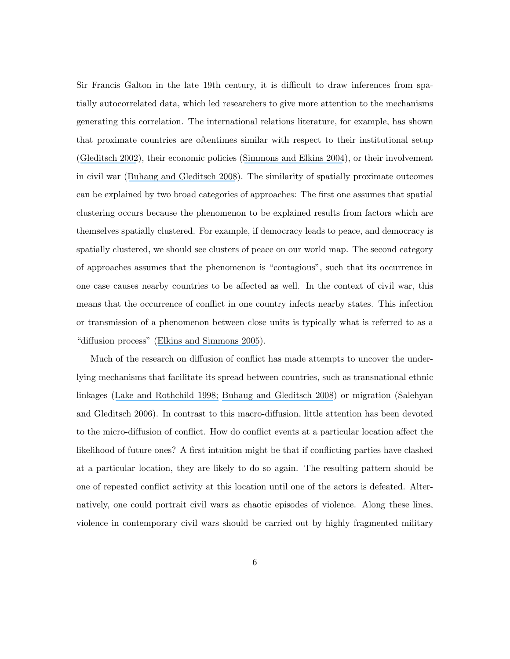Sir Francis Galton in the late 19th century, it is difficult to draw inferences from spatially autocorrelated data, which led researchers to give more attention to the mechanisms generating this correlation. The international relations literature, for example, has shown that proximate countries are oftentimes similar with respect to their institutional setup ([Gleditsch 2002](https://www.researchgate.net/publication/40010326_All_International_Politics_Is_Local_The_Diffusion_of_Conflict_Integration_and_Democratization?el=1_x_8&enrichId=rgreq-f926c4651b556490546955b65891280c-XXX&enrichSource=Y292ZXJQYWdlOzIyOTQwMDAwMztBUzoxMDM5ODk0NDE5OTA2NThAMTQwMTgwNDQyMzI4NA==)), their economic policies ([Simmons and Elkins 2004](https://www.researchgate.net/publication/40783732_The_Globalization_of_Liberalization_Policy_Diffusion_in_the_International_Political_Economy?el=1_x_8&enrichId=rgreq-f926c4651b556490546955b65891280c-XXX&enrichSource=Y292ZXJQYWdlOzIyOTQwMDAwMztBUzoxMDM5ODk0NDE5OTA2NThAMTQwMTgwNDQyMzI4NA==)), or their involvement in civil war ([Buhaug and Gleditsch 2008](https://www.researchgate.net/publication/229480737_Contagion_or_Confusion_Why_Conflicts_Cluster_in_Space?el=1_x_8&enrichId=rgreq-f926c4651b556490546955b65891280c-XXX&enrichSource=Y292ZXJQYWdlOzIyOTQwMDAwMztBUzoxMDM5ODk0NDE5OTA2NThAMTQwMTgwNDQyMzI4NA==)). The similarity of spatially proximate outcomes can be explained by two broad categories of approaches: The first one assumes that spatial clustering occurs because the phenomenon to be explained results from factors which are themselves spatially clustered. For example, if democracy leads to peace, and democracy is spatially clustered, we should see clusters of peace on our world map. The second category of approaches assumes that the phenomenon is "contagious", such that its occurrence in one case causes nearby countries to be affected as well. In the context of civil war, this means that the occurrence of conflict in one country infects nearby states. This infection or transmission of a phenomenon between close units is typically what is referred to as a "diffusion process" ([Elkins and Simmons 2005](https://www.researchgate.net/publication/40783731_On_Waves_Clusters_and_Diffusion_A_Conceptual_Framework?el=1_x_8&enrichId=rgreq-f926c4651b556490546955b65891280c-XXX&enrichSource=Y292ZXJQYWdlOzIyOTQwMDAwMztBUzoxMDM5ODk0NDE5OTA2NThAMTQwMTgwNDQyMzI4NA==)).

Much of the research on diffusion of conflict has made attempts to uncover the underlying mechanisms that facilitate its spread between countries, such as transnational ethnic linkages ([Lake and Rothchild 1998;](https://www.researchgate.net/publication/248736065_Spreading_Fear_The_Genesis_of_Transnational_Ethnic_Conflict?el=1_x_8&enrichId=rgreq-f926c4651b556490546955b65891280c-XXX&enrichSource=Y292ZXJQYWdlOzIyOTQwMDAwMztBUzoxMDM5ODk0NDE5OTA2NThAMTQwMTgwNDQyMzI4NA==) [Buhaug and Gleditsch 2008](https://www.researchgate.net/publication/229480737_Contagion_or_Confusion_Why_Conflicts_Cluster_in_Space?el=1_x_8&enrichId=rgreq-f926c4651b556490546955b65891280c-XXX&enrichSource=Y292ZXJQYWdlOzIyOTQwMDAwMztBUzoxMDM5ODk0NDE5OTA2NThAMTQwMTgwNDQyMzI4NA==)) or migration (Salehyan and Gleditsch 2006). In contrast to this macro-diffusion, little attention has been devoted to the micro-diffusion of conflict. How do conflict events at a particular location affect the likelihood of future ones? A first intuition might be that if conflicting parties have clashed at a particular location, they are likely to do so again. The resulting pattern should be one of repeated conflict activity at this location until one of the actors is defeated. Alternatively, one could portrait civil wars as chaotic episodes of violence. Along these lines, violence in contemporary civil wars should be carried out by highly fragmented military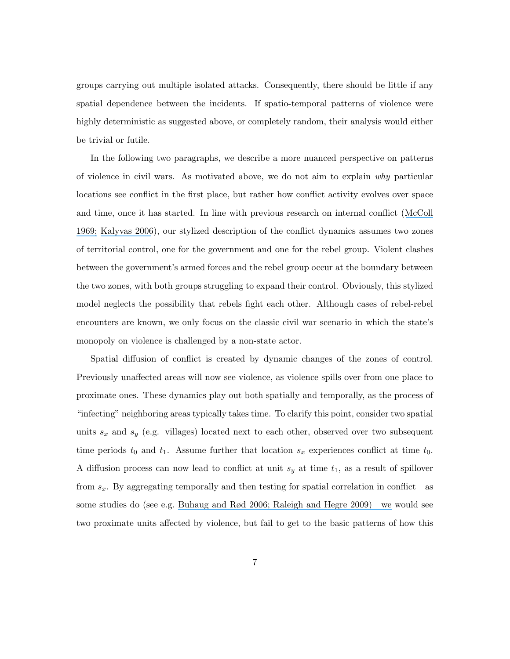groups carrying out multiple isolated attacks. Consequently, there should be little if any spatial dependence between the incidents. If spatio-temporal patterns of violence were highly deterministic as suggested above, or completely random, their analysis would either be trivial or futile.

In the following two paragraphs, we describe a more nuanced perspective on patterns of violence in civil wars. As motivated above, we do not aim to explain why particular locations see conflict in the first place, but rather how conflict activity evolves over space and time, once it has started. In line with previous research on internal conflict ([McColl](https://www.researchgate.net/publication/232913516_The_Insurgent_State_Territorial_Bases_of_Revolution?el=1_x_8&enrichId=rgreq-f926c4651b556490546955b65891280c-XXX&enrichSource=Y292ZXJQYWdlOzIyOTQwMDAwMztBUzoxMDM5ODk0NDE5OTA2NThAMTQwMTgwNDQyMzI4NA==) [1969;](https://www.researchgate.net/publication/232913516_The_Insurgent_State_Territorial_Bases_of_Revolution?el=1_x_8&enrichId=rgreq-f926c4651b556490546955b65891280c-XXX&enrichSource=Y292ZXJQYWdlOzIyOTQwMDAwMztBUzoxMDM5ODk0NDE5OTA2NThAMTQwMTgwNDQyMzI4NA==) [Kalyvas 2006](https://www.researchgate.net/publication/240319231_The_Logic_of_Violence_in_Civil_War?el=1_x_8&enrichId=rgreq-f926c4651b556490546955b65891280c-XXX&enrichSource=Y292ZXJQYWdlOzIyOTQwMDAwMztBUzoxMDM5ODk0NDE5OTA2NThAMTQwMTgwNDQyMzI4NA==)), our stylized description of the conflict dynamics assumes two zones of territorial control, one for the government and one for the rebel group. Violent clashes between the government's armed forces and the rebel group occur at the boundary between the two zones, with both groups struggling to expand their control. Obviously, this stylized model neglects the possibility that rebels fight each other. Although cases of rebel-rebel encounters are known, we only focus on the classic civil war scenario in which the state's monopoly on violence is challenged by a non-state actor.

Spatial diffusion of conflict is created by dynamic changes of the zones of control. Previously unaffected areas will now see violence, as violence spills over from one place to proximate ones. These dynamics play out both spatially and temporally, as the process of "infecting" neighboring areas typically takes time. To clarify this point, consider two spatial units  $s_x$  and  $s_y$  (e.g. villages) located next to each other, observed over two subsequent time periods  $t_0$  and  $t_1$ . Assume further that location  $s_x$  experiences conflict at time  $t_0$ . A diffusion process can now lead to conflict at unit  $s_y$  at time  $t_1$ , as a result of spillover from  $s_x$ . By aggregating temporally and then testing for spatial correlation in conflict—as some studies do (see e.g. [Buhaug and Rød 2006; Raleigh and Hegre 2009\)—we](https://www.researchgate.net/publication/249728630_Poverty_and_Civil_War_Events?el=1_x_8&enrichId=rgreq-f926c4651b556490546955b65891280c-XXX&enrichSource=Y292ZXJQYWdlOzIyOTQwMDAwMztBUzoxMDM5ODk0NDE5OTA2NThAMTQwMTgwNDQyMzI4NA==) would see two proximate units affected by violence, but fail to get to the basic patterns of how this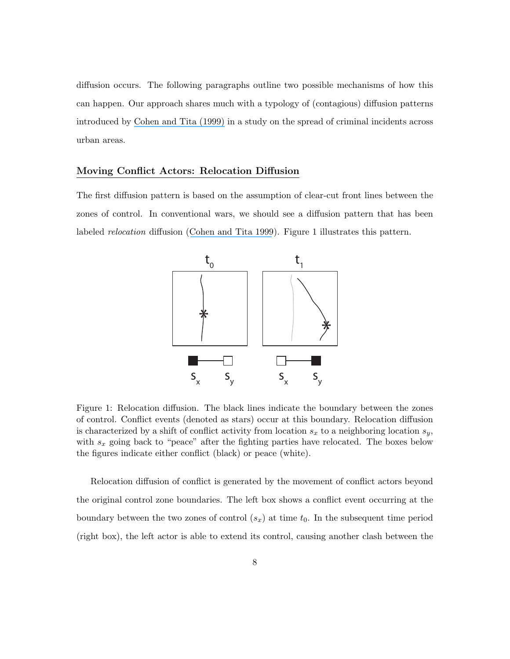diffusion occurs. The following paragraphs outline two possible mechanisms of how this can happen. Our approach shares much with a typology of (contagious) diffusion patterns introduced by [Cohen and Tita \(1999\)](https://www.researchgate.net/publication/227000676_Diffusion_in_Homicide_Exploring_A_General_Method_for_Detecting_Spatial_Diffusion_Processes?el=1_x_8&enrichId=rgreq-f926c4651b556490546955b65891280c-XXX&enrichSource=Y292ZXJQYWdlOzIyOTQwMDAwMztBUzoxMDM5ODk0NDE5OTA2NThAMTQwMTgwNDQyMzI4NA==) in a study on the spread of criminal incidents across urban areas.

#### Moving Conflict Actors: Relocation Diffusion

The first diffusion pattern is based on the assumption of clear-cut front lines between the zones of control. In conventional wars, we should see a diffusion pattern that has been labeled *relocation* diffusion ([Cohen and Tita 1999](https://www.researchgate.net/publication/227000676_Diffusion_in_Homicide_Exploring_A_General_Method_for_Detecting_Spatial_Diffusion_Processes?el=1_x_8&enrichId=rgreq-f926c4651b556490546955b65891280c-XXX&enrichSource=Y292ZXJQYWdlOzIyOTQwMDAwMztBUzoxMDM5ODk0NDE5OTA2NThAMTQwMTgwNDQyMzI4NA==)). Figure 1 illustrates this pattern.



Figure 1: Relocation diffusion. The black lines indicate the boundary between the zones of control. Conflict events (denoted as stars) occur at this boundary. Relocation diffusion is characterized by a shift of conflict activity from location  $s_x$  to a neighboring location  $s_y$ , with  $s_x$  going back to "peace" after the fighting parties have relocated. The boxes below the figures indicate either conflict (black) or peace (white).

Relocation diffusion of conflict is generated by the movement of conflict actors beyond the original control zone boundaries. The left box shows a conflict event occurring at the boundary between the two zones of control  $(s_x)$  at time  $t_0$ . In the subsequent time period (right box), the left actor is able to extend its control, causing another clash between the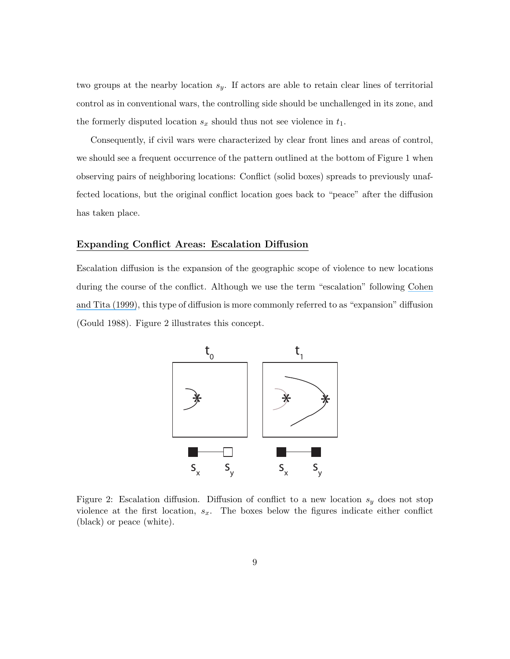two groups at the nearby location  $s_y$ . If actors are able to retain clear lines of territorial control as in conventional wars, the controlling side should be unchallenged in its zone, and the formerly disputed location  $s_x$  should thus not see violence in  $t_1$ .

Consequently, if civil wars were characterized by clear front lines and areas of control, we should see a frequent occurrence of the pattern outlined at the bottom of Figure 1 when observing pairs of neighboring locations: Conflict (solid boxes) spreads to previously unaffected locations, but the original conflict location goes back to "peace" after the diffusion has taken place.

### Expanding Conflict Areas: Escalation Diffusion

Escalation diffusion is the expansion of the geographic scope of violence to new locations during the course of the conflict. Although we use the term "escalation" following [Cohen](https://www.researchgate.net/publication/227000676_Diffusion_in_Homicide_Exploring_A_General_Method_for_Detecting_Spatial_Diffusion_Processes?el=1_x_8&enrichId=rgreq-f926c4651b556490546955b65891280c-XXX&enrichSource=Y292ZXJQYWdlOzIyOTQwMDAwMztBUzoxMDM5ODk0NDE5OTA2NThAMTQwMTgwNDQyMzI4NA==) [and Tita \(1999\)](https://www.researchgate.net/publication/227000676_Diffusion_in_Homicide_Exploring_A_General_Method_for_Detecting_Spatial_Diffusion_Processes?el=1_x_8&enrichId=rgreq-f926c4651b556490546955b65891280c-XXX&enrichSource=Y292ZXJQYWdlOzIyOTQwMDAwMztBUzoxMDM5ODk0NDE5OTA2NThAMTQwMTgwNDQyMzI4NA==), this type of diffusion is more commonly referred to as "expansion" diffusion (Gould 1988). Figure 2 illustrates this concept.



Figure 2: Escalation diffusion. Diffusion of conflict to a new location  $s_y$  does not stop violence at the first location,  $s_x$ . The boxes below the figures indicate either conflict (black) or peace (white).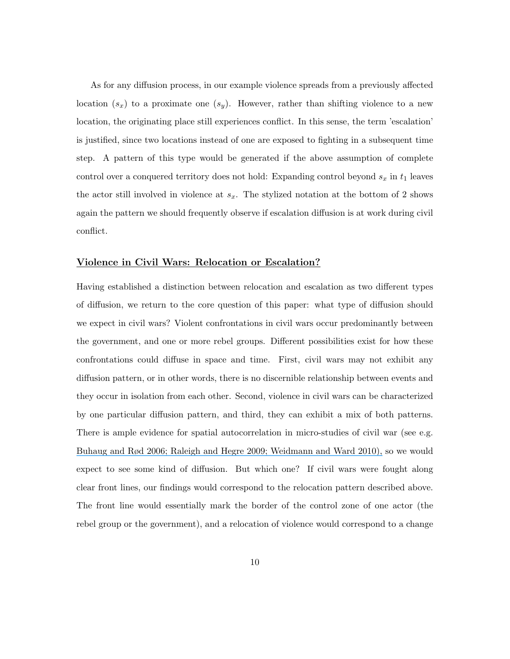As for any diffusion process, in our example violence spreads from a previously affected location  $(s_x)$  to a proximate one  $(s_y)$ . However, rather than shifting violence to a new location, the originating place still experiences conflict. In this sense, the term 'escalation' is justified, since two locations instead of one are exposed to fighting in a subsequent time step. A pattern of this type would be generated if the above assumption of complete control over a conquered territory does not hold: Expanding control beyond  $s_x$  in  $t_1$  leaves the actor still involved in violence at  $s_x$ . The stylized notation at the bottom of 2 shows again the pattern we should frequently observe if escalation diffusion is at work during civil conflict.

### Violence in Civil Wars: Relocation or Escalation?

Having established a distinction between relocation and escalation as two different types of diffusion, we return to the core question of this paper: what type of diffusion should we expect in civil wars? Violent confrontations in civil wars occur predominantly between the government, and one or more rebel groups. Different possibilities exist for how these confrontations could diffuse in space and time. First, civil wars may not exhibit any diffusion pattern, or in other words, there is no discernible relationship between events and they occur in isolation from each other. Second, violence in civil wars can be characterized by one particular diffusion pattern, and third, they can exhibit a mix of both patterns. There is ample evidence for spatial autocorrelation in micro-studies of civil war (see e.g. [Buhaug and Rød 2006; Raleigh and Hegre 2009; Weidmann and Ward 2010\),](https://www.researchgate.net/publication/249728630_Poverty_and_Civil_War_Events?el=1_x_8&enrichId=rgreq-f926c4651b556490546955b65891280c-XXX&enrichSource=Y292ZXJQYWdlOzIyOTQwMDAwMztBUzoxMDM5ODk0NDE5OTA2NThAMTQwMTgwNDQyMzI4NA==) so we would expect to see some kind of diffusion. But which one? If civil wars were fought along clear front lines, our findings would correspond to the relocation pattern described above. The front line would essentially mark the border of the control zone of one actor (the rebel group or the government), and a relocation of violence would correspond to a change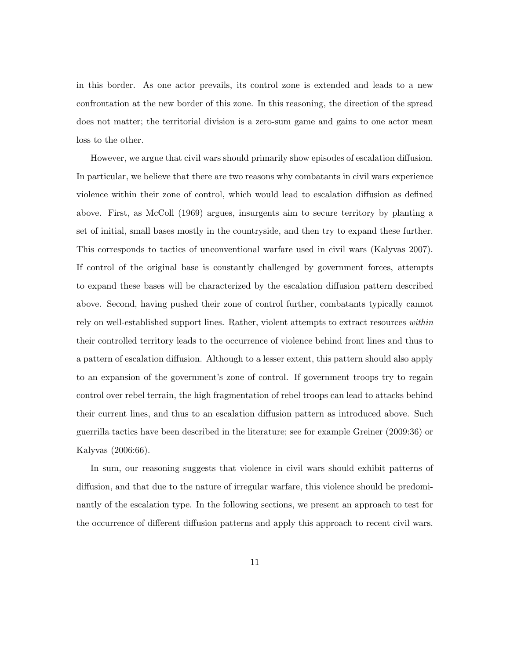in this border. As one actor prevails, its control zone is extended and leads to a new confrontation at the new border of this zone. In this reasoning, the direction of the spread does not matter; the territorial division is a zero-sum game and gains to one actor mean loss to the other.

However, we argue that civil wars should primarily show episodes of escalation diffusion. In particular, we believe that there are two reasons why combatants in civil wars experience violence within their zone of control, which would lead to escalation diffusion as defined above. First, as McColl (1969) argues, insurgents aim to secure territory by planting a set of initial, small bases mostly in the countryside, and then try to expand these further. This corresponds to tactics of unconventional warfare used in civil wars (Kalyvas 2007). If control of the original base is constantly challenged by government forces, attempts to expand these bases will be characterized by the escalation diffusion pattern described above. Second, having pushed their zone of control further, combatants typically cannot rely on well-established support lines. Rather, violent attempts to extract resources within their controlled territory leads to the occurrence of violence behind front lines and thus to a pattern of escalation diffusion. Although to a lesser extent, this pattern should also apply to an expansion of the government's zone of control. If government troops try to regain control over rebel terrain, the high fragmentation of rebel troops can lead to attacks behind their current lines, and thus to an escalation diffusion pattern as introduced above. Such guerrilla tactics have been described in the literature; see for example Greiner (2009:36) or Kalyvas (2006:66).

In sum, our reasoning suggests that violence in civil wars should exhibit patterns of diffusion, and that due to the nature of irregular warfare, this violence should be predominantly of the escalation type. In the following sections, we present an approach to test for the occurrence of different diffusion patterns and apply this approach to recent civil wars.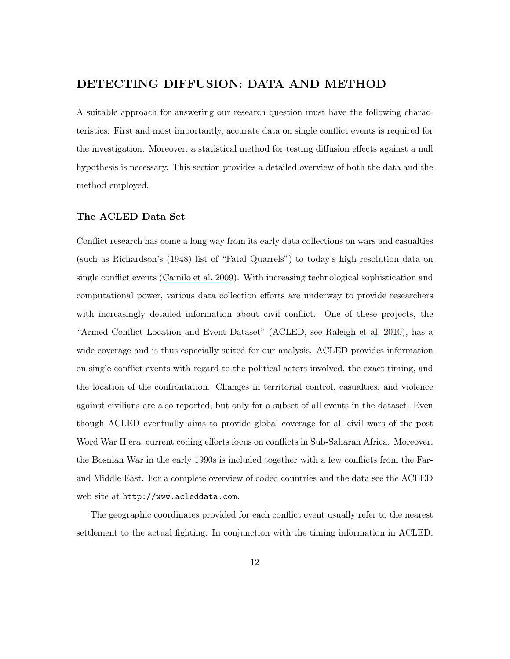# DETECTING DIFFUSION: DATA AND METHOD

A suitable approach for answering our research question must have the following characteristics: First and most importantly, accurate data on single conflict events is required for the investigation. Moreover, a statistical method for testing diffusion effects against a null hypothesis is necessary. This section provides a detailed overview of both the data and the method employed.

### The ACLED Data Set

Conflict research has come a long way from its early data collections on wars and casualties (such as Richardson's (1948) list of "Fatal Quarrels") to today's high resolution data on single conflict events ([Camilo et al. 2009](https://www.researchgate.net/publication/40693977_Common_ecology_quantifies_human_insurgency?el=1_x_8&enrichId=rgreq-f926c4651b556490546955b65891280c-XXX&enrichSource=Y292ZXJQYWdlOzIyOTQwMDAwMztBUzoxMDM5ODk0NDE5OTA2NThAMTQwMTgwNDQyMzI4NA==)). With increasing technological sophistication and computational power, various data collection efforts are underway to provide researchers with increasingly detailed information about civil conflict. One of these projects, the "Armed Conflict Location and Event Dataset" (ACLED, see [Raleigh et al. 2010](https://www.researchgate.net/publication/227574688_Introducing_ACLED_An_Armed_Conflict_Location_and_Event_Dataset_Special_Data_Feature?el=1_x_8&enrichId=rgreq-f926c4651b556490546955b65891280c-XXX&enrichSource=Y292ZXJQYWdlOzIyOTQwMDAwMztBUzoxMDM5ODk0NDE5OTA2NThAMTQwMTgwNDQyMzI4NA==)), has a wide coverage and is thus especially suited for our analysis. ACLED provides information on single conflict events with regard to the political actors involved, the exact timing, and the location of the confrontation. Changes in territorial control, casualties, and violence against civilians are also reported, but only for a subset of all events in the dataset. Even though ACLED eventually aims to provide global coverage for all civil wars of the post Word War II era, current coding efforts focus on conflicts in Sub-Saharan Africa. Moreover, the Bosnian War in the early 1990s is included together with a few conflicts from the Farand Middle East. For a complete overview of coded countries and the data see the ACLED web site at http://www.acleddata.com.

The geographic coordinates provided for each conflict event usually refer to the nearest settlement to the actual fighting. In conjunction with the timing information in ACLED,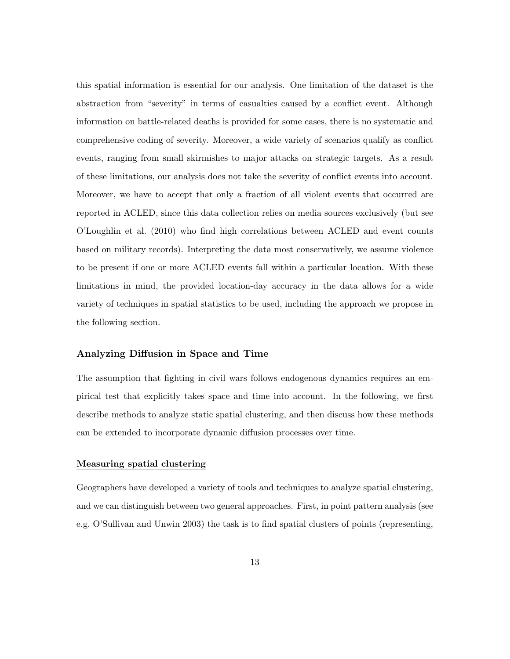this spatial information is essential for our analysis. One limitation of the dataset is the abstraction from "severity" in terms of casualties caused by a conflict event. Although information on battle-related deaths is provided for some cases, there is no systematic and comprehensive coding of severity. Moreover, a wide variety of scenarios qualify as conflict events, ranging from small skirmishes to major attacks on strategic targets. As a result of these limitations, our analysis does not take the severity of conflict events into account. Moreover, we have to accept that only a fraction of all violent events that occurred are reported in ACLED, since this data collection relies on media sources exclusively (but see O'Loughlin et al. (2010) who find high correlations between ACLED and event counts based on military records). Interpreting the data most conservatively, we assume violence to be present if one or more ACLED events fall within a particular location. With these limitations in mind, the provided location-day accuracy in the data allows for a wide variety of techniques in spatial statistics to be used, including the approach we propose in the following section.

### Analyzing Diffusion in Space and Time

The assumption that fighting in civil wars follows endogenous dynamics requires an empirical test that explicitly takes space and time into account. In the following, we first describe methods to analyze static spatial clustering, and then discuss how these methods can be extended to incorporate dynamic diffusion processes over time.

#### Measuring spatial clustering

Geographers have developed a variety of tools and techniques to analyze spatial clustering, and we can distinguish between two general approaches. First, in point pattern analysis (see e.g. O'Sullivan and Unwin 2003) the task is to find spatial clusters of points (representing,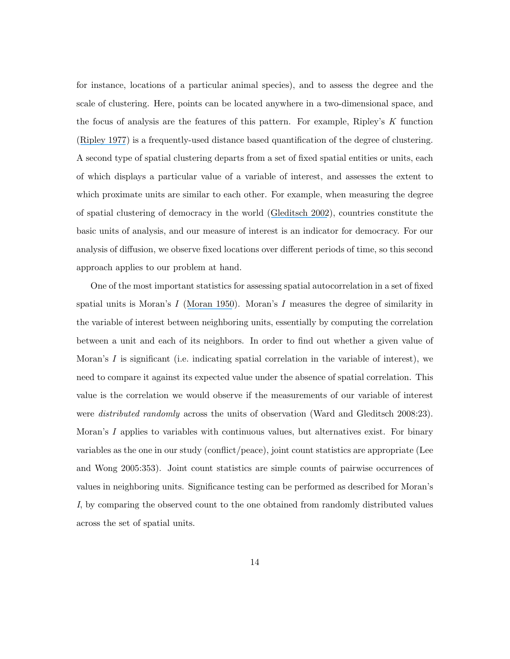for instance, locations of a particular animal species), and to assess the degree and the scale of clustering. Here, points can be located anywhere in a two-dimensional space, and the focus of analysis are the features of this pattern. For example, Ripley's K function ([Ripley 1977](https://www.researchgate.net/publication/232128899_Modelling_Spatial_Patterns?el=1_x_8&enrichId=rgreq-f926c4651b556490546955b65891280c-XXX&enrichSource=Y292ZXJQYWdlOzIyOTQwMDAwMztBUzoxMDM5ODk0NDE5OTA2NThAMTQwMTgwNDQyMzI4NA==)) is a frequently-used distance based quantification of the degree of clustering. A second type of spatial clustering departs from a set of fixed spatial entities or units, each of which displays a particular value of a variable of interest, and assesses the extent to which proximate units are similar to each other. For example, when measuring the degree of spatial clustering of democracy in the world ([Gleditsch 2002](https://www.researchgate.net/publication/40010326_All_International_Politics_Is_Local_The_Diffusion_of_Conflict_Integration_and_Democratization?el=1_x_8&enrichId=rgreq-f926c4651b556490546955b65891280c-XXX&enrichSource=Y292ZXJQYWdlOzIyOTQwMDAwMztBUzoxMDM5ODk0NDE5OTA2NThAMTQwMTgwNDQyMzI4NA==)), countries constitute the basic units of analysis, and our measure of interest is an indicator for democracy. For our analysis of diffusion, we observe fixed locations over different periods of time, so this second approach applies to our problem at hand.

One of the most important statistics for assessing spatial autocorrelation in a set of fixed spatial units is Moran's I ([Moran 1950](https://www.researchgate.net/publication/8295498_Notes_on_Continuous_Stochastic_Phenomena?el=1_x_8&enrichId=rgreq-f926c4651b556490546955b65891280c-XXX&enrichSource=Y292ZXJQYWdlOzIyOTQwMDAwMztBUzoxMDM5ODk0NDE5OTA2NThAMTQwMTgwNDQyMzI4NA==)). Moran's I measures the degree of similarity in the variable of interest between neighboring units, essentially by computing the correlation between a unit and each of its neighbors. In order to find out whether a given value of Moran's  $I$  is significant (i.e. indicating spatial correlation in the variable of interest), we need to compare it against its expected value under the absence of spatial correlation. This value is the correlation we would observe if the measurements of our variable of interest were *distributed randomly* across the units of observation (Ward and Gleditsch 2008:23). Moran's I applies to variables with continuous values, but alternatives exist. For binary variables as the one in our study (conflict/peace), joint count statistics are appropriate (Lee and Wong 2005:353). Joint count statistics are simple counts of pairwise occurrences of values in neighboring units. Significance testing can be performed as described for Moran's I, by comparing the observed count to the one obtained from randomly distributed values across the set of spatial units.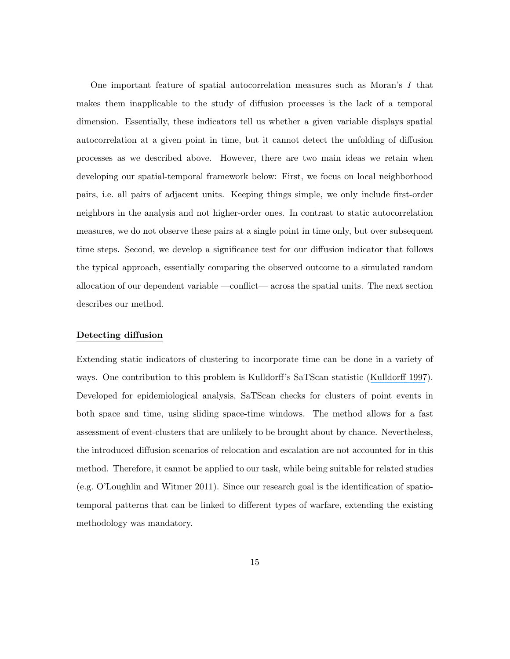One important feature of spatial autocorrelation measures such as Moran's I that makes them inapplicable to the study of diffusion processes is the lack of a temporal dimension. Essentially, these indicators tell us whether a given variable displays spatial autocorrelation at a given point in time, but it cannot detect the unfolding of diffusion processes as we described above. However, there are two main ideas we retain when developing our spatial-temporal framework below: First, we focus on local neighborhood pairs, i.e. all pairs of adjacent units. Keeping things simple, we only include first-order neighbors in the analysis and not higher-order ones. In contrast to static autocorrelation measures, we do not observe these pairs at a single point in time only, but over subsequent time steps. Second, we develop a significance test for our diffusion indicator that follows the typical approach, essentially comparing the observed outcome to a simulated random allocation of our dependent variable —conflict— across the spatial units. The next section describes our method.

#### Detecting diffusion

Extending static indicators of clustering to incorporate time can be done in a variety of ways. One contribution to this problem is Kulldorff's SaTScan statistic ([Kulldorff 1997](https://www.researchgate.net/publication/261671964_A_Spatial_Scan_Statistic?el=1_x_8&enrichId=rgreq-f926c4651b556490546955b65891280c-XXX&enrichSource=Y292ZXJQYWdlOzIyOTQwMDAwMztBUzoxMDM5ODk0NDE5OTA2NThAMTQwMTgwNDQyMzI4NA==)). Developed for epidemiological analysis, SaTScan checks for clusters of point events in both space and time, using sliding space-time windows. The method allows for a fast assessment of event-clusters that are unlikely to be brought about by chance. Nevertheless, the introduced diffusion scenarios of relocation and escalation are not accounted for in this method. Therefore, it cannot be applied to our task, while being suitable for related studies (e.g. O'Loughlin and Witmer 2011). Since our research goal is the identification of spatiotemporal patterns that can be linked to different types of warfare, extending the existing methodology was mandatory.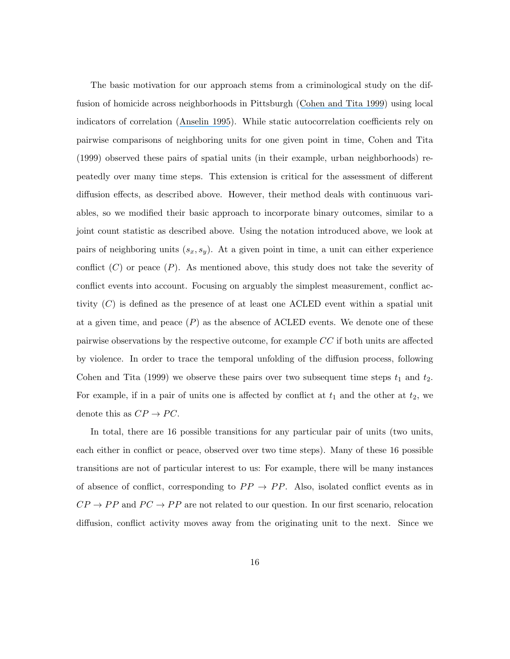The basic motivation for our approach stems from a criminological study on the diffusion of homicide across neighborhoods in Pittsburgh ([Cohen and Tita 1999](https://www.researchgate.net/publication/227000676_Diffusion_in_Homicide_Exploring_A_General_Method_for_Detecting_Spatial_Diffusion_Processes?el=1_x_8&enrichId=rgreq-f926c4651b556490546955b65891280c-XXX&enrichSource=Y292ZXJQYWdlOzIyOTQwMDAwMztBUzoxMDM5ODk0NDE5OTA2NThAMTQwMTgwNDQyMzI4NA==)) using local indicators of correlation ([Anselin 1995](https://www.researchgate.net/publication/227612581_Local_Indicators_of_Spatial_Association-ISA?el=1_x_8&enrichId=rgreq-f926c4651b556490546955b65891280c-XXX&enrichSource=Y292ZXJQYWdlOzIyOTQwMDAwMztBUzoxMDM5ODk0NDE5OTA2NThAMTQwMTgwNDQyMzI4NA==)). While static autocorrelation coefficients rely on pairwise comparisons of neighboring units for one given point in time, Cohen and Tita (1999) observed these pairs of spatial units (in their example, urban neighborhoods) repeatedly over many time steps. This extension is critical for the assessment of different diffusion effects, as described above. However, their method deals with continuous variables, so we modified their basic approach to incorporate binary outcomes, similar to a joint count statistic as described above. Using the notation introduced above, we look at pairs of neighboring units  $(s_x, s_y)$ . At a given point in time, a unit can either experience conflict  $(C)$  or peace  $(P)$ . As mentioned above, this study does not take the severity of conflict events into account. Focusing on arguably the simplest measurement, conflict activity  $(C)$  is defined as the presence of at least one ACLED event within a spatial unit at a given time, and peace  $(P)$  as the absence of ACLED events. We denote one of these pairwise observations by the respective outcome, for example CC if both units are affected by violence. In order to trace the temporal unfolding of the diffusion process, following Cohen and Tita (1999) we observe these pairs over two subsequent time steps  $t_1$  and  $t_2$ . For example, if in a pair of units one is affected by conflict at  $t_1$  and the other at  $t_2$ , we denote this as  $CP \rightarrow PC$ .

In total, there are 16 possible transitions for any particular pair of units (two units, each either in conflict or peace, observed over two time steps). Many of these 16 possible transitions are not of particular interest to us: For example, there will be many instances of absence of conflict, corresponding to  $PP \rightarrow PP$ . Also, isolated conflict events as in  $CP \rightarrow PP$  and  $PC \rightarrow PP$  are not related to our question. In our first scenario, relocation diffusion, conflict activity moves away from the originating unit to the next. Since we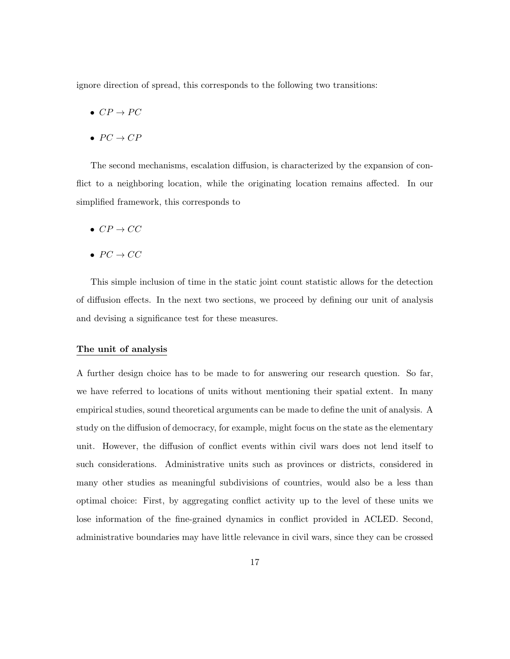ignore direction of spread, this corresponds to the following two transitions:

- $CP \rightarrow PC$
- $PC \rightarrow CP$

The second mechanisms, escalation diffusion, is characterized by the expansion of conflict to a neighboring location, while the originating location remains affected. In our simplified framework, this corresponds to

- $CP \rightarrow CC$
- $PC \rightarrow CC$

This simple inclusion of time in the static joint count statistic allows for the detection of diffusion effects. In the next two sections, we proceed by defining our unit of analysis and devising a significance test for these measures.

#### The unit of analysis

A further design choice has to be made to for answering our research question. So far, we have referred to locations of units without mentioning their spatial extent. In many empirical studies, sound theoretical arguments can be made to define the unit of analysis. A study on the diffusion of democracy, for example, might focus on the state as the elementary unit. However, the diffusion of conflict events within civil wars does not lend itself to such considerations. Administrative units such as provinces or districts, considered in many other studies as meaningful subdivisions of countries, would also be a less than optimal choice: First, by aggregating conflict activity up to the level of these units we lose information of the fine-grained dynamics in conflict provided in ACLED. Second, administrative boundaries may have little relevance in civil wars, since they can be crossed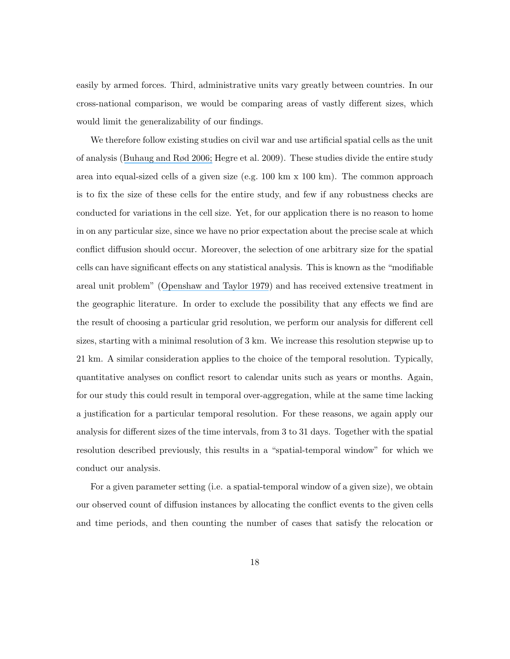easily by armed forces. Third, administrative units vary greatly between countries. In our cross-national comparison, we would be comparing areas of vastly different sizes, which would limit the generalizability of our findings.

We therefore follow existing studies on civil war and use artificial spatial cells as the unit of analysis ([Buhaug and Rød 2006;](https://www.researchgate.net/publication/222663716_Local_Determinants_of_African_Civil_Wars_1970-2001?el=1_x_8&enrichId=rgreq-f926c4651b556490546955b65891280c-XXX&enrichSource=Y292ZXJQYWdlOzIyOTQwMDAwMztBUzoxMDM5ODk0NDE5OTA2NThAMTQwMTgwNDQyMzI4NA==) Hegre et al. 2009). These studies divide the entire study area into equal-sized cells of a given size (e.g. 100 km x 100 km). The common approach is to fix the size of these cells for the entire study, and few if any robustness checks are conducted for variations in the cell size. Yet, for our application there is no reason to home in on any particular size, since we have no prior expectation about the precise scale at which conflict diffusion should occur. Moreover, the selection of one arbitrary size for the spatial cells can have significant effects on any statistical analysis. This is known as the "modifiable areal unit problem" ([Openshaw and Taylor 1979](https://www.researchgate.net/publication/232128816_A_million_or_so_correlation_coefficients_Three_experiments_on_the_modifiable_areal_unit_problem?el=1_x_8&enrichId=rgreq-f926c4651b556490546955b65891280c-XXX&enrichSource=Y292ZXJQYWdlOzIyOTQwMDAwMztBUzoxMDM5ODk0NDE5OTA2NThAMTQwMTgwNDQyMzI4NA==)) and has received extensive treatment in the geographic literature. In order to exclude the possibility that any effects we find are the result of choosing a particular grid resolution, we perform our analysis for different cell sizes, starting with a minimal resolution of 3 km. We increase this resolution stepwise up to 21 km. A similar consideration applies to the choice of the temporal resolution. Typically, quantitative analyses on conflict resort to calendar units such as years or months. Again, for our study this could result in temporal over-aggregation, while at the same time lacking a justification for a particular temporal resolution. For these reasons, we again apply our analysis for different sizes of the time intervals, from 3 to 31 days. Together with the spatial resolution described previously, this results in a "spatial-temporal window" for which we conduct our analysis.

For a given parameter setting (i.e. a spatial-temporal window of a given size), we obtain our observed count of diffusion instances by allocating the conflict events to the given cells and time periods, and then counting the number of cases that satisfy the relocation or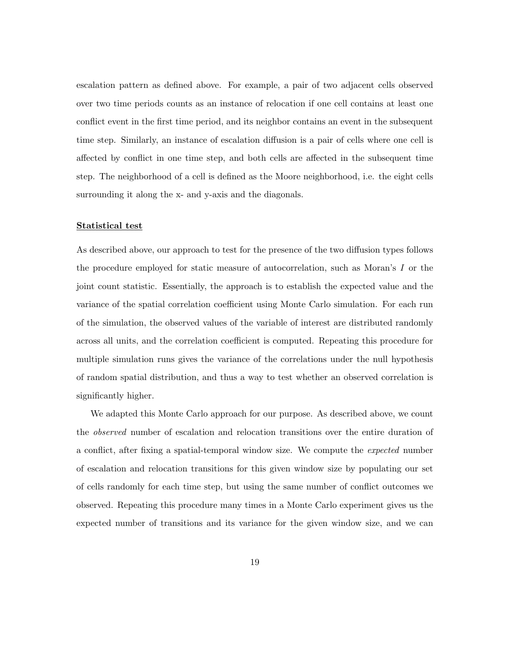escalation pattern as defined above. For example, a pair of two adjacent cells observed over two time periods counts as an instance of relocation if one cell contains at least one conflict event in the first time period, and its neighbor contains an event in the subsequent time step. Similarly, an instance of escalation diffusion is a pair of cells where one cell is affected by conflict in one time step, and both cells are affected in the subsequent time step. The neighborhood of a cell is defined as the Moore neighborhood, i.e. the eight cells surrounding it along the x- and y-axis and the diagonals.

#### Statistical test

As described above, our approach to test for the presence of the two diffusion types follows the procedure employed for static measure of autocorrelation, such as Moran's I or the joint count statistic. Essentially, the approach is to establish the expected value and the variance of the spatial correlation coefficient using Monte Carlo simulation. For each run of the simulation, the observed values of the variable of interest are distributed randomly across all units, and the correlation coefficient is computed. Repeating this procedure for multiple simulation runs gives the variance of the correlations under the null hypothesis of random spatial distribution, and thus a way to test whether an observed correlation is significantly higher.

We adapted this Monte Carlo approach for our purpose. As described above, we count the observed number of escalation and relocation transitions over the entire duration of a conflict, after fixing a spatial-temporal window size. We compute the expected number of escalation and relocation transitions for this given window size by populating our set of cells randomly for each time step, but using the same number of conflict outcomes we observed. Repeating this procedure many times in a Monte Carlo experiment gives us the expected number of transitions and its variance for the given window size, and we can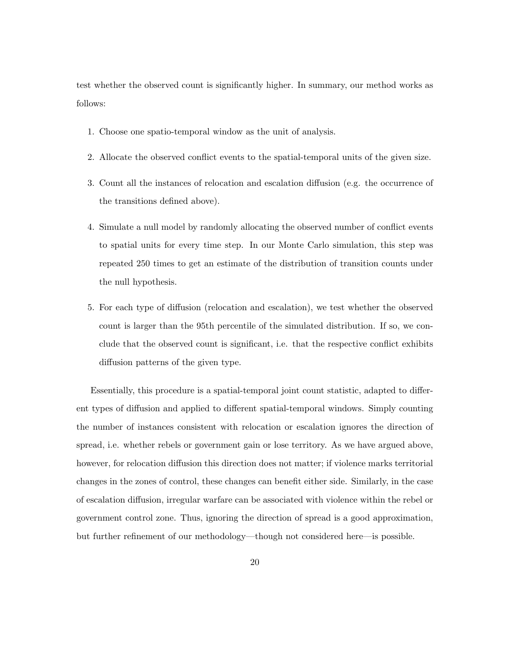test whether the observed count is significantly higher. In summary, our method works as follows:

- 1. Choose one spatio-temporal window as the unit of analysis.
- 2. Allocate the observed conflict events to the spatial-temporal units of the given size.
- 3. Count all the instances of relocation and escalation diffusion (e.g. the occurrence of the transitions defined above).
- 4. Simulate a null model by randomly allocating the observed number of conflict events to spatial units for every time step. In our Monte Carlo simulation, this step was repeated 250 times to get an estimate of the distribution of transition counts under the null hypothesis.
- 5. For each type of diffusion (relocation and escalation), we test whether the observed count is larger than the 95th percentile of the simulated distribution. If so, we conclude that the observed count is significant, i.e. that the respective conflict exhibits diffusion patterns of the given type.

Essentially, this procedure is a spatial-temporal joint count statistic, adapted to different types of diffusion and applied to different spatial-temporal windows. Simply counting the number of instances consistent with relocation or escalation ignores the direction of spread, i.e. whether rebels or government gain or lose territory. As we have argued above, however, for relocation diffusion this direction does not matter; if violence marks territorial changes in the zones of control, these changes can benefit either side. Similarly, in the case of escalation diffusion, irregular warfare can be associated with violence within the rebel or government control zone. Thus, ignoring the direction of spread is a good approximation, but further refinement of our methodology—though not considered here—is possible.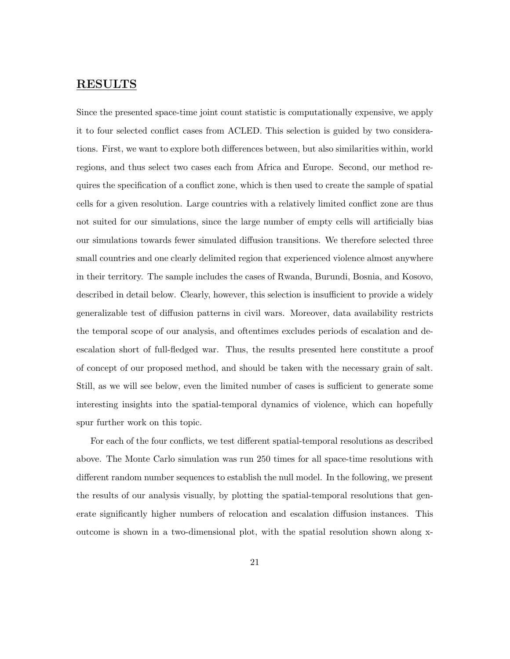# RESULTS

Since the presented space-time joint count statistic is computationally expensive, we apply it to four selected conflict cases from ACLED. This selection is guided by two considerations. First, we want to explore both differences between, but also similarities within, world regions, and thus select two cases each from Africa and Europe. Second, our method requires the specification of a conflict zone, which is then used to create the sample of spatial cells for a given resolution. Large countries with a relatively limited conflict zone are thus not suited for our simulations, since the large number of empty cells will artificially bias our simulations towards fewer simulated diffusion transitions. We therefore selected three small countries and one clearly delimited region that experienced violence almost anywhere in their territory. The sample includes the cases of Rwanda, Burundi, Bosnia, and Kosovo, described in detail below. Clearly, however, this selection is insufficient to provide a widely generalizable test of diffusion patterns in civil wars. Moreover, data availability restricts the temporal scope of our analysis, and oftentimes excludes periods of escalation and deescalation short of full-fledged war. Thus, the results presented here constitute a proof of concept of our proposed method, and should be taken with the necessary grain of salt. Still, as we will see below, even the limited number of cases is sufficient to generate some interesting insights into the spatial-temporal dynamics of violence, which can hopefully spur further work on this topic.

For each of the four conflicts, we test different spatial-temporal resolutions as described above. The Monte Carlo simulation was run 250 times for all space-time resolutions with different random number sequences to establish the null model. In the following, we present the results of our analysis visually, by plotting the spatial-temporal resolutions that generate significantly higher numbers of relocation and escalation diffusion instances. This outcome is shown in a two-dimensional plot, with the spatial resolution shown along x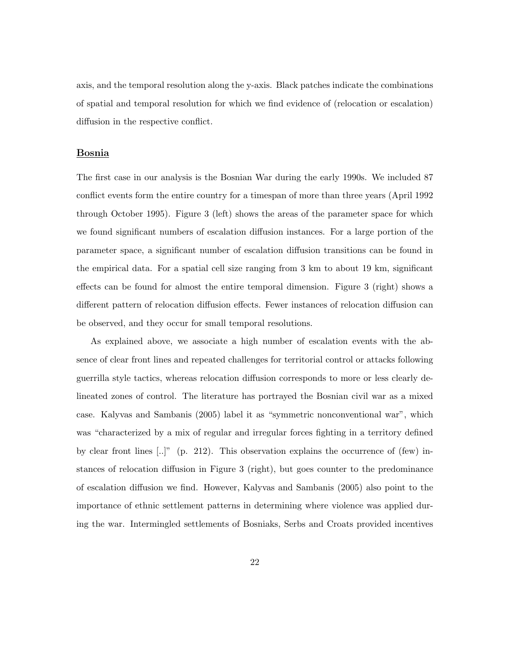axis, and the temporal resolution along the y-axis. Black patches indicate the combinations of spatial and temporal resolution for which we find evidence of (relocation or escalation) diffusion in the respective conflict.

#### Bosnia

The first case in our analysis is the Bosnian War during the early 1990s. We included 87 conflict events form the entire country for a timespan of more than three years (April 1992 through October 1995). Figure 3 (left) shows the areas of the parameter space for which we found significant numbers of escalation diffusion instances. For a large portion of the parameter space, a significant number of escalation diffusion transitions can be found in the empirical data. For a spatial cell size ranging from 3 km to about 19 km, significant effects can be found for almost the entire temporal dimension. Figure 3 (right) shows a different pattern of relocation diffusion effects. Fewer instances of relocation diffusion can be observed, and they occur for small temporal resolutions.

As explained above, we associate a high number of escalation events with the absence of clear front lines and repeated challenges for territorial control or attacks following guerrilla style tactics, whereas relocation diffusion corresponds to more or less clearly delineated zones of control. The literature has portrayed the Bosnian civil war as a mixed case. Kalyvas and Sambanis (2005) label it as "symmetric nonconventional war", which was "characterized by a mix of regular and irregular forces fighting in a territory defined by clear front lines  $[...]$ " (p. 212). This observation explains the occurrence of (few) instances of relocation diffusion in Figure 3 (right), but goes counter to the predominance of escalation diffusion we find. However, Kalyvas and Sambanis (2005) also point to the importance of ethnic settlement patterns in determining where violence was applied during the war. Intermingled settlements of Bosniaks, Serbs and Croats provided incentives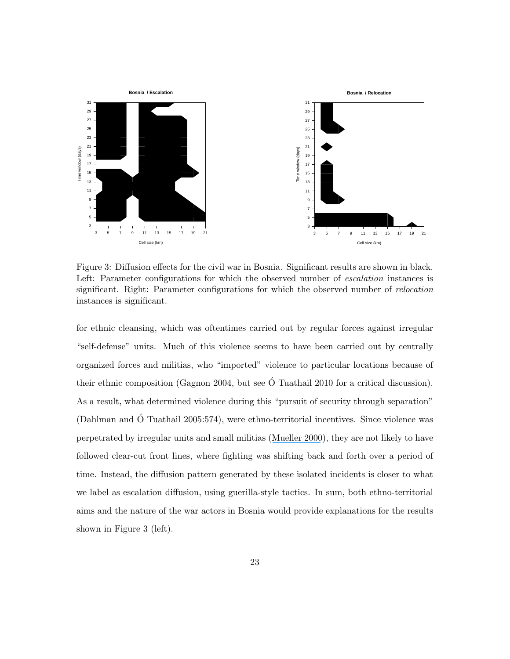

Figure 3: Diffusion effects for the civil war in Bosnia. Significant results are shown in black. Left: Parameter configurations for which the observed number of *escalation* instances is significant. Right: Parameter configurations for which the observed number of *relocation* instances is significant.

for ethnic cleansing, which was oftentimes carried out by regular forces against irregular "self-defense" units. Much of this violence seems to have been carried out by centrally organized forces and militias, who "imported" violence to particular locations because of their ethnic composition (Gagnon 2004, but see  $\acute{O}$  Tuathail 2010 for a critical discussion). As a result, what determined violence during this "pursuit of security through separation" (Dahlman and O Tuathail 2005:574), were ethno-territorial incentives. Since violence was ´ perpetrated by irregular units and small militias ([Mueller 2000](https://www.researchgate.net/publication/237370874_The_Banality_of_Ethnic_War?el=1_x_8&enrichId=rgreq-f926c4651b556490546955b65891280c-XXX&enrichSource=Y292ZXJQYWdlOzIyOTQwMDAwMztBUzoxMDM5ODk0NDE5OTA2NThAMTQwMTgwNDQyMzI4NA==)), they are not likely to have followed clear-cut front lines, where fighting was shifting back and forth over a period of time. Instead, the diffusion pattern generated by these isolated incidents is closer to what we label as escalation diffusion, using guerilla-style tactics. In sum, both ethno-territorial aims and the nature of the war actors in Bosnia would provide explanations for the results shown in Figure 3 (left).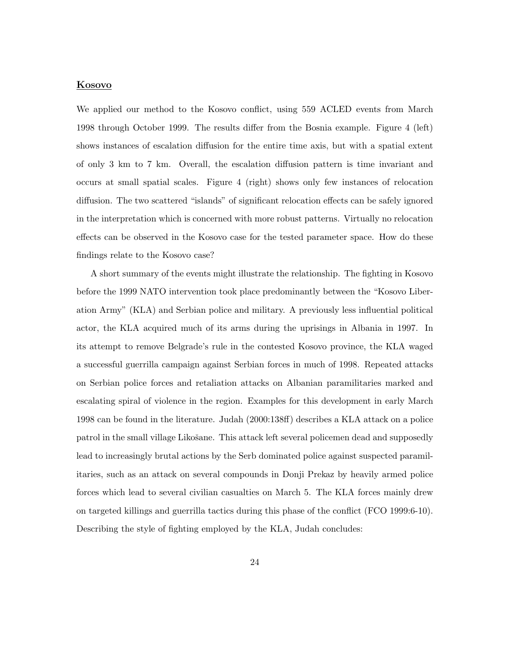#### Kosovo

We applied our method to the Kosovo conflict, using 559 ACLED events from March 1998 through October 1999. The results differ from the Bosnia example. Figure 4 (left) shows instances of escalation diffusion for the entire time axis, but with a spatial extent of only 3 km to 7 km. Overall, the escalation diffusion pattern is time invariant and occurs at small spatial scales. Figure 4 (right) shows only few instances of relocation diffusion. The two scattered "islands" of significant relocation effects can be safely ignored in the interpretation which is concerned with more robust patterns. Virtually no relocation effects can be observed in the Kosovo case for the tested parameter space. How do these findings relate to the Kosovo case?

A short summary of the events might illustrate the relationship. The fighting in Kosovo before the 1999 NATO intervention took place predominantly between the "Kosovo Liberation Army" (KLA) and Serbian police and military. A previously less influential political actor, the KLA acquired much of its arms during the uprisings in Albania in 1997. In its attempt to remove Belgrade's rule in the contested Kosovo province, the KLA waged a successful guerrilla campaign against Serbian forces in much of 1998. Repeated attacks on Serbian police forces and retaliation attacks on Albanian paramilitaries marked and escalating spiral of violence in the region. Examples for this development in early March 1998 can be found in the literature. Judah (2000:138ff) describes a KLA attack on a police patrol in the small village Likošane. This attack left several policemen dead and supposedly lead to increasingly brutal actions by the Serb dominated police against suspected paramilitaries, such as an attack on several compounds in Donji Prekaz by heavily armed police forces which lead to several civilian casualties on March 5. The KLA forces mainly drew on targeted killings and guerrilla tactics during this phase of the conflict (FCO 1999:6-10). Describing the style of fighting employed by the KLA, Judah concludes: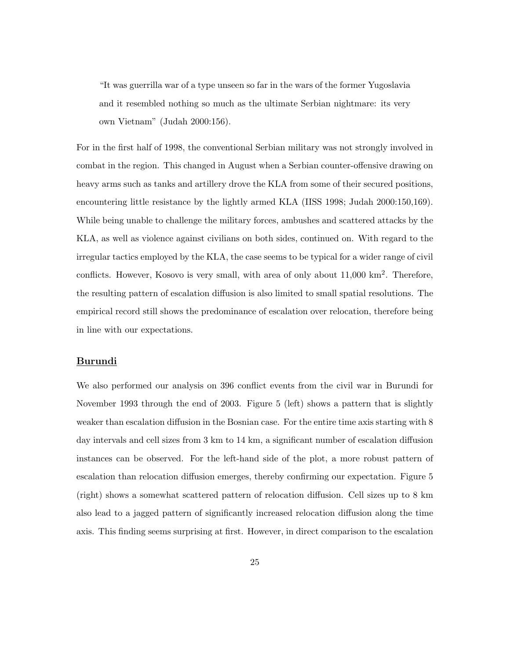"It was guerrilla war of a type unseen so far in the wars of the former Yugoslavia and it resembled nothing so much as the ultimate Serbian nightmare: its very own Vietnam" (Judah 2000:156).

For in the first half of 1998, the conventional Serbian military was not strongly involved in combat in the region. This changed in August when a Serbian counter-offensive drawing on heavy arms such as tanks and artillery drove the KLA from some of their secured positions, encountering little resistance by the lightly armed KLA (IISS 1998; Judah 2000:150,169). While being unable to challenge the military forces, ambushes and scattered attacks by the KLA, as well as violence against civilians on both sides, continued on. With regard to the irregular tactics employed by the KLA, the case seems to be typical for a wider range of civil conflicts. However, Kosovo is very small, with area of only about  $11,000 \text{ km}^2$ . Therefore, the resulting pattern of escalation diffusion is also limited to small spatial resolutions. The empirical record still shows the predominance of escalation over relocation, therefore being in line with our expectations.

## **Burundi**

We also performed our analysis on 396 conflict events from the civil war in Burundi for November 1993 through the end of 2003. Figure 5 (left) shows a pattern that is slightly weaker than escalation diffusion in the Bosnian case. For the entire time axis starting with 8 day intervals and cell sizes from 3 km to 14 km, a significant number of escalation diffusion instances can be observed. For the left-hand side of the plot, a more robust pattern of escalation than relocation diffusion emerges, thereby confirming our expectation. Figure 5 (right) shows a somewhat scattered pattern of relocation diffusion. Cell sizes up to 8 km also lead to a jagged pattern of significantly increased relocation diffusion along the time axis. This finding seems surprising at first. However, in direct comparison to the escalation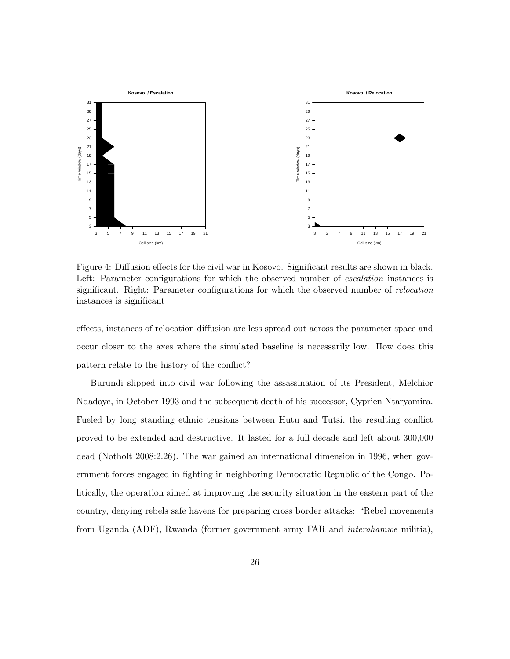

Figure 4: Diffusion effects for the civil war in Kosovo. Significant results are shown in black. Left: Parameter configurations for which the observed number of *escalation* instances is significant. Right: Parameter configurations for which the observed number of relocation instances is significant

effects, instances of relocation diffusion are less spread out across the parameter space and occur closer to the axes where the simulated baseline is necessarily low. How does this pattern relate to the history of the conflict?

Burundi slipped into civil war following the assassination of its President, Melchior Ndadaye, in October 1993 and the subsequent death of his successor, Cyprien Ntaryamira. Fueled by long standing ethnic tensions between Hutu and Tutsi, the resulting conflict proved to be extended and destructive. It lasted for a full decade and left about 300,000 dead (Notholt 2008:2.26). The war gained an international dimension in 1996, when government forces engaged in fighting in neighboring Democratic Republic of the Congo. Politically, the operation aimed at improving the security situation in the eastern part of the country, denying rebels safe havens for preparing cross border attacks: "Rebel movements from Uganda (ADF), Rwanda (former government army FAR and interahamwe militia),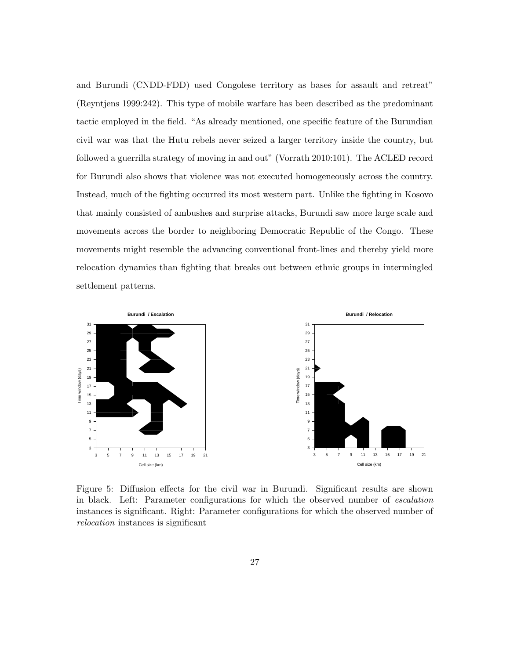and Burundi (CNDD-FDD) used Congolese territory as bases for assault and retreat" (Reyntjens 1999:242). This type of mobile warfare has been described as the predominant tactic employed in the field. "As already mentioned, one specific feature of the Burundian civil war was that the Hutu rebels never seized a larger territory inside the country, but followed a guerrilla strategy of moving in and out" (Vorrath 2010:101). The ACLED record for Burundi also shows that violence was not executed homogeneously across the country. Instead, much of the fighting occurred its most western part. Unlike the fighting in Kosovo that mainly consisted of ambushes and surprise attacks, Burundi saw more large scale and movements across the border to neighboring Democratic Republic of the Congo. These movements might resemble the advancing conventional front-lines and thereby yield more relocation dynamics than fighting that breaks out between ethnic groups in intermingled settlement patterns.



Figure 5: Diffusion effects for the civil war in Burundi. Significant results are shown in black. Left: Parameter configurations for which the observed number of escalation instances is significant. Right: Parameter configurations for which the observed number of relocation instances is significant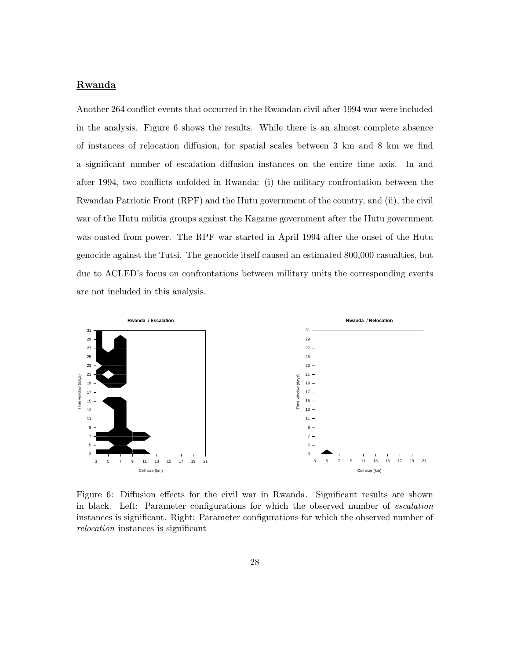### Rwanda

Another 264 conflict events that occurred in the Rwandan civil after 1994 war were included in the analysis. Figure 6 shows the results. While there is an almost complete absence of instances of relocation diffusion, for spatial scales between 3 km and 8 km we find a significant number of escalation diffusion instances on the entire time axis. In and after 1994, two conflicts unfolded in Rwanda: (i) the military confrontation between the Rwandan Patriotic Front (RPF) and the Hutu government of the country, and (ii), the civil war of the Hutu militia groups against the Kagame government after the Hutu government was ousted from power. The RPF war started in April 1994 after the onset of the Hutu genocide against the Tutsi. The genocide itself caused an estimated 800,000 casualties, but due to ACLED's focus on confrontations between military units the corresponding events are not included in this analysis.



Figure 6: Diffusion effects for the civil war in Rwanda. Significant results are shown in black. Left: Parameter configurations for which the observed number of escalation instances is significant. Right: Parameter configurations for which the observed number of relocation instances is significant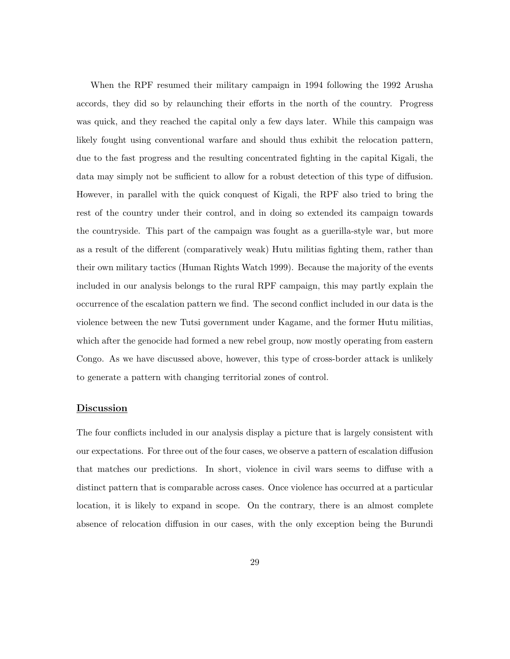When the RPF resumed their military campaign in 1994 following the 1992 Arusha accords, they did so by relaunching their efforts in the north of the country. Progress was quick, and they reached the capital only a few days later. While this campaign was likely fought using conventional warfare and should thus exhibit the relocation pattern, due to the fast progress and the resulting concentrated fighting in the capital Kigali, the data may simply not be sufficient to allow for a robust detection of this type of diffusion. However, in parallel with the quick conquest of Kigali, the RPF also tried to bring the rest of the country under their control, and in doing so extended its campaign towards the countryside. This part of the campaign was fought as a guerilla-style war, but more as a result of the different (comparatively weak) Hutu militias fighting them, rather than their own military tactics (Human Rights Watch 1999). Because the majority of the events included in our analysis belongs to the rural RPF campaign, this may partly explain the occurrence of the escalation pattern we find. The second conflict included in our data is the violence between the new Tutsi government under Kagame, and the former Hutu militias, which after the genocide had formed a new rebel group, now mostly operating from eastern Congo. As we have discussed above, however, this type of cross-border attack is unlikely to generate a pattern with changing territorial zones of control.

### Discussion

The four conflicts included in our analysis display a picture that is largely consistent with our expectations. For three out of the four cases, we observe a pattern of escalation diffusion that matches our predictions. In short, violence in civil wars seems to diffuse with a distinct pattern that is comparable across cases. Once violence has occurred at a particular location, it is likely to expand in scope. On the contrary, there is an almost complete absence of relocation diffusion in our cases, with the only exception being the Burundi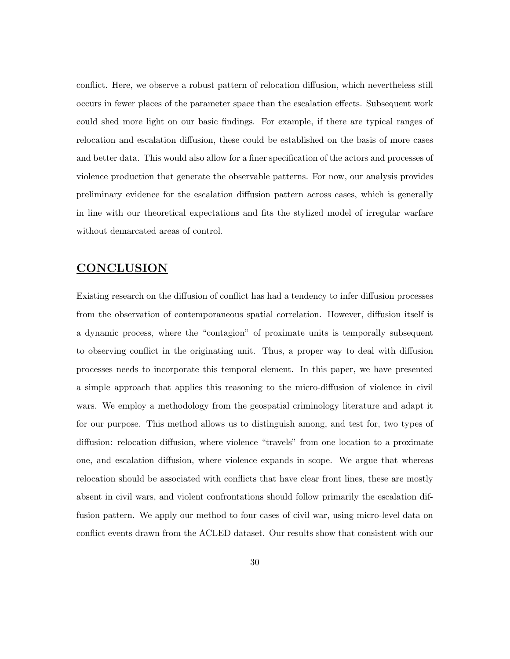conflict. Here, we observe a robust pattern of relocation diffusion, which nevertheless still occurs in fewer places of the parameter space than the escalation effects. Subsequent work could shed more light on our basic findings. For example, if there are typical ranges of relocation and escalation diffusion, these could be established on the basis of more cases and better data. This would also allow for a finer specification of the actors and processes of violence production that generate the observable patterns. For now, our analysis provides preliminary evidence for the escalation diffusion pattern across cases, which is generally in line with our theoretical expectations and fits the stylized model of irregular warfare without demarcated areas of control.

# CONCLUSION

Existing research on the diffusion of conflict has had a tendency to infer diffusion processes from the observation of contemporaneous spatial correlation. However, diffusion itself is a dynamic process, where the "contagion" of proximate units is temporally subsequent to observing conflict in the originating unit. Thus, a proper way to deal with diffusion processes needs to incorporate this temporal element. In this paper, we have presented a simple approach that applies this reasoning to the micro-diffusion of violence in civil wars. We employ a methodology from the geospatial criminology literature and adapt it for our purpose. This method allows us to distinguish among, and test for, two types of diffusion: relocation diffusion, where violence "travels" from one location to a proximate one, and escalation diffusion, where violence expands in scope. We argue that whereas relocation should be associated with conflicts that have clear front lines, these are mostly absent in civil wars, and violent confrontations should follow primarily the escalation diffusion pattern. We apply our method to four cases of civil war, using micro-level data on conflict events drawn from the ACLED dataset. Our results show that consistent with our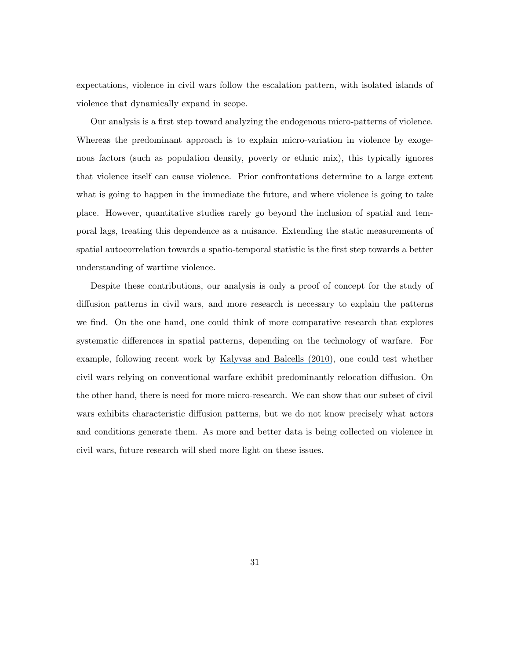expectations, violence in civil wars follow the escalation pattern, with isolated islands of violence that dynamically expand in scope.

Our analysis is a first step toward analyzing the endogenous micro-patterns of violence. Whereas the predominant approach is to explain micro-variation in violence by exogenous factors (such as population density, poverty or ethnic mix), this typically ignores that violence itself can cause violence. Prior confrontations determine to a large extent what is going to happen in the immediate the future, and where violence is going to take place. However, quantitative studies rarely go beyond the inclusion of spatial and temporal lags, treating this dependence as a nuisance. Extending the static measurements of spatial autocorrelation towards a spatio-temporal statistic is the first step towards a better understanding of wartime violence.

Despite these contributions, our analysis is only a proof of concept for the study of diffusion patterns in civil wars, and more research is necessary to explain the patterns we find. On the one hand, one could think of more comparative research that explores systematic differences in spatial patterns, depending on the technology of warfare. For example, following recent work by [Kalyvas and Balcells \(2010\)](https://www.researchgate.net/publication/232015276_International_System_and_Technologies_of_Rebellion_How_the_End_of_the_Cold_War_Shaped_Internal_Conflict?el=1_x_8&enrichId=rgreq-f926c4651b556490546955b65891280c-XXX&enrichSource=Y292ZXJQYWdlOzIyOTQwMDAwMztBUzoxMDM5ODk0NDE5OTA2NThAMTQwMTgwNDQyMzI4NA==), one could test whether civil wars relying on conventional warfare exhibit predominantly relocation diffusion. On the other hand, there is need for more micro-research. We can show that our subset of civil wars exhibits characteristic diffusion patterns, but we do not know precisely what actors and conditions generate them. As more and better data is being collected on violence in civil wars, future research will shed more light on these issues.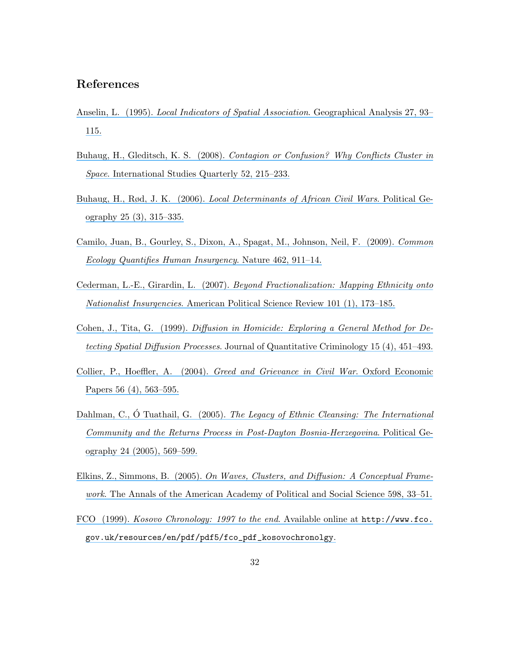# References

- Anselin, L. (1995). [Local Indicators of Spatial Association](https://www.researchgate.net/publication/227612581_Local_Indicators_of_Spatial_Association-ISA?el=1_x_8&enrichId=rgreq-f926c4651b556490546955b65891280c-XXX&enrichSource=Y292ZXJQYWdlOzIyOTQwMDAwMztBUzoxMDM5ODk0NDE5OTA2NThAMTQwMTgwNDQyMzI4NA==). Geographical Analysis 27, 93– [115.](https://www.researchgate.net/publication/227612581_Local_Indicators_of_Spatial_Association-ISA?el=1_x_8&enrichId=rgreq-f926c4651b556490546955b65891280c-XXX&enrichSource=Y292ZXJQYWdlOzIyOTQwMDAwMztBUzoxMDM5ODk0NDE5OTA2NThAMTQwMTgwNDQyMzI4NA==)
- Buhaug, H., Gleditsch, K. S. (2008). [Contagion or Confusion? Why Conflicts Cluster in](https://www.researchgate.net/publication/229480737_Contagion_or_Confusion_Why_Conflicts_Cluster_in_Space?el=1_x_8&enrichId=rgreq-f926c4651b556490546955b65891280c-XXX&enrichSource=Y292ZXJQYWdlOzIyOTQwMDAwMztBUzoxMDM5ODk0NDE5OTA2NThAMTQwMTgwNDQyMzI4NA==) Space[. International Studies Quarterly 52, 215–233.](https://www.researchgate.net/publication/229480737_Contagion_or_Confusion_Why_Conflicts_Cluster_in_Space?el=1_x_8&enrichId=rgreq-f926c4651b556490546955b65891280c-XXX&enrichSource=Y292ZXJQYWdlOzIyOTQwMDAwMztBUzoxMDM5ODk0NDE5OTA2NThAMTQwMTgwNDQyMzI4NA==)
- Buhaug, H., Rød, J. K. (2006). [Local Determinants of African Civil Wars](https://www.researchgate.net/publication/222663716_Local_Determinants_of_African_Civil_Wars_1970-2001?el=1_x_8&enrichId=rgreq-f926c4651b556490546955b65891280c-XXX&enrichSource=Y292ZXJQYWdlOzIyOTQwMDAwMztBUzoxMDM5ODk0NDE5OTA2NThAMTQwMTgwNDQyMzI4NA==). Political Ge[ography 25 \(3\), 315–335.](https://www.researchgate.net/publication/222663716_Local_Determinants_of_African_Civil_Wars_1970-2001?el=1_x_8&enrichId=rgreq-f926c4651b556490546955b65891280c-XXX&enrichSource=Y292ZXJQYWdlOzIyOTQwMDAwMztBUzoxMDM5ODk0NDE5OTA2NThAMTQwMTgwNDQyMzI4NA==)
- [Camilo, Juan, B., Gourley, S., Dixon, A., Spagat, M., Johnson, Neil, F. \(2009\).](https://www.researchgate.net/publication/40693977_Common_ecology_quantifies_human_insurgency?el=1_x_8&enrichId=rgreq-f926c4651b556490546955b65891280c-XXX&enrichSource=Y292ZXJQYWdlOzIyOTQwMDAwMztBUzoxMDM5ODk0NDE5OTA2NThAMTQwMTgwNDQyMzI4NA==) Common [Ecology Quantifies Human Insurgency](https://www.researchgate.net/publication/40693977_Common_ecology_quantifies_human_insurgency?el=1_x_8&enrichId=rgreq-f926c4651b556490546955b65891280c-XXX&enrichSource=Y292ZXJQYWdlOzIyOTQwMDAwMztBUzoxMDM5ODk0NDE5OTA2NThAMTQwMTgwNDQyMzI4NA==). Nature 462, 911–14.
- Cederman, L.-E., Girardin, L. (2007). [Beyond Fractionalization: Mapping Ethnicity onto](https://www.researchgate.net/publication/231843337_Beyond_Fractionalization_Mapping_Ethnicity_Onto_Nationalist_Insurgencies?el=1_x_8&enrichId=rgreq-f926c4651b556490546955b65891280c-XXX&enrichSource=Y292ZXJQYWdlOzIyOTQwMDAwMztBUzoxMDM5ODk0NDE5OTA2NThAMTQwMTgwNDQyMzI4NA==) Nationalist Insurgencies[. American Political Science Review 101 \(1\), 173–185.](https://www.researchgate.net/publication/231843337_Beyond_Fractionalization_Mapping_Ethnicity_Onto_Nationalist_Insurgencies?el=1_x_8&enrichId=rgreq-f926c4651b556490546955b65891280c-XXX&enrichSource=Y292ZXJQYWdlOzIyOTQwMDAwMztBUzoxMDM5ODk0NDE5OTA2NThAMTQwMTgwNDQyMzI4NA==)
- Cohen, J., Tita, G. (1999). [Diffusion in Homicide: Exploring a General Method for De](https://www.researchgate.net/publication/227000676_Diffusion_in_Homicide_Exploring_A_General_Method_for_Detecting_Spatial_Diffusion_Processes?el=1_x_8&enrichId=rgreq-f926c4651b556490546955b65891280c-XXX&enrichSource=Y292ZXJQYWdlOzIyOTQwMDAwMztBUzoxMDM5ODk0NDE5OTA2NThAMTQwMTgwNDQyMzI4NA==)tecting Spatial Diffusion Processes[. Journal of Quantitative Criminology 15 \(4\), 451–493.](https://www.researchgate.net/publication/227000676_Diffusion_in_Homicide_Exploring_A_General_Method_for_Detecting_Spatial_Diffusion_Processes?el=1_x_8&enrichId=rgreq-f926c4651b556490546955b65891280c-XXX&enrichSource=Y292ZXJQYWdlOzIyOTQwMDAwMztBUzoxMDM5ODk0NDE5OTA2NThAMTQwMTgwNDQyMzI4NA==)
- Collier, P., Hoeffler, A. (2004). [Greed and Grievance in Civil War](https://www.researchgate.net/publication/2516276_Greed_and_Grievance_in_Civil_War?el=1_x_8&enrichId=rgreq-f926c4651b556490546955b65891280c-XXX&enrichSource=Y292ZXJQYWdlOzIyOTQwMDAwMztBUzoxMDM5ODk0NDE5OTA2NThAMTQwMTgwNDQyMzI4NA==). Oxford Economic [Papers 56 \(4\), 563–595.](https://www.researchgate.net/publication/2516276_Greed_and_Grievance_in_Civil_War?el=1_x_8&enrichId=rgreq-f926c4651b556490546955b65891280c-XXX&enrichSource=Y292ZXJQYWdlOzIyOTQwMDAwMztBUzoxMDM5ODk0NDE5OTA2NThAMTQwMTgwNDQyMzI4NA==)
- [Dahlman, C.,](https://www.researchgate.net/publication/298867674_The_legacy_of_ethnic_cleansing_The_international_community_and_the_returns_process_in_post-Dayton_Bosnia-Herzegovina?el=1_x_8&enrichId=rgreq-f926c4651b556490546955b65891280c-XXX&enrichSource=Y292ZXJQYWdlOzIyOTQwMDAwMztBUzoxMDM5ODk0NDE5OTA2NThAMTQwMTgwNDQyMzI4NA==)  $\acute{O}$  Tuathail, G. (2005). [The Legacy of Ethnic Cleansing: The International](https://www.researchgate.net/publication/298867674_The_legacy_of_ethnic_cleansing_The_international_community_and_the_returns_process_in_post-Dayton_Bosnia-Herzegovina?el=1_x_8&enrichId=rgreq-f926c4651b556490546955b65891280c-XXX&enrichSource=Y292ZXJQYWdlOzIyOTQwMDAwMztBUzoxMDM5ODk0NDE5OTA2NThAMTQwMTgwNDQyMzI4NA==) [Community and the Returns Process in Post-Dayton Bosnia-Herzegovina](https://www.researchgate.net/publication/298867674_The_legacy_of_ethnic_cleansing_The_international_community_and_the_returns_process_in_post-Dayton_Bosnia-Herzegovina?el=1_x_8&enrichId=rgreq-f926c4651b556490546955b65891280c-XXX&enrichSource=Y292ZXJQYWdlOzIyOTQwMDAwMztBUzoxMDM5ODk0NDE5OTA2NThAMTQwMTgwNDQyMzI4NA==). Political Ge[ography 24 \(2005\), 569–599.](https://www.researchgate.net/publication/298867674_The_legacy_of_ethnic_cleansing_The_international_community_and_the_returns_process_in_post-Dayton_Bosnia-Herzegovina?el=1_x_8&enrichId=rgreq-f926c4651b556490546955b65891280c-XXX&enrichSource=Y292ZXJQYWdlOzIyOTQwMDAwMztBUzoxMDM5ODk0NDE5OTA2NThAMTQwMTgwNDQyMzI4NA==)
- Elkins, Z., Simmons, B. (2005). [On Waves, Clusters, and Diffusion: A Conceptual Frame-](https://www.researchgate.net/publication/40783731_On_Waves_Clusters_and_Diffusion_A_Conceptual_Framework?el=1_x_8&enrichId=rgreq-f926c4651b556490546955b65891280c-XXX&enrichSource=Y292ZXJQYWdlOzIyOTQwMDAwMztBUzoxMDM5ODk0NDE5OTA2NThAMTQwMTgwNDQyMzI4NA==)work[. The Annals of the American Academy of Political and Social Science 598, 33–51.](https://www.researchgate.net/publication/40783731_On_Waves_Clusters_and_Diffusion_A_Conceptual_Framework?el=1_x_8&enrichId=rgreq-f926c4651b556490546955b65891280c-XXX&enrichSource=Y292ZXJQYWdlOzIyOTQwMDAwMztBUzoxMDM5ODk0NDE5OTA2NThAMTQwMTgwNDQyMzI4NA==)
- FCO (1999). [Kosovo Chronology: 1997 to the end](https://www.researchgate.net/publication/242745812_Kosovo_-_Chronology?el=1_x_8&enrichId=rgreq-f926c4651b556490546955b65891280c-XXX&enrichSource=Y292ZXJQYWdlOzIyOTQwMDAwMztBUzoxMDM5ODk0NDE5OTA2NThAMTQwMTgwNDQyMzI4NA==). Available online at http://www.fco. [gov.uk/resources/en/pdf/pdf5/fco\\_pdf\\_kosovochronolgy](https://www.researchgate.net/publication/242745812_Kosovo_-_Chronology?el=1_x_8&enrichId=rgreq-f926c4651b556490546955b65891280c-XXX&enrichSource=Y292ZXJQYWdlOzIyOTQwMDAwMztBUzoxMDM5ODk0NDE5OTA2NThAMTQwMTgwNDQyMzI4NA==).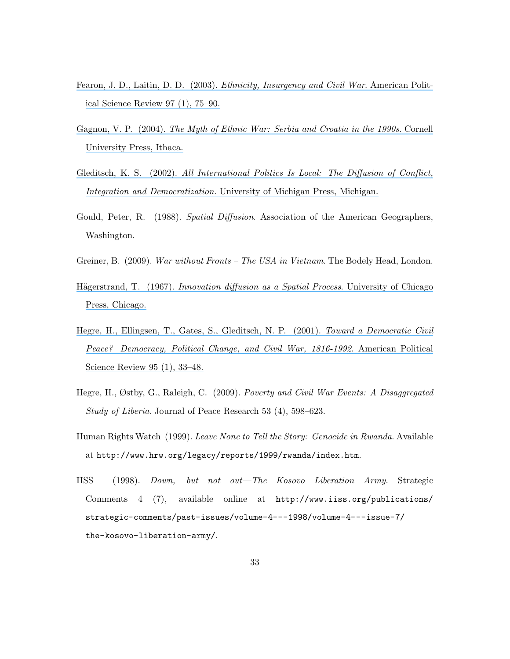- Fearon, J. D., Laitin, D. D. (2003). *[Ethnicity, Insurgency and Civil War](https://www.researchgate.net/publication/2834579_Ethnicity_Insurgency_And_Civil_War?el=1_x_8&enrichId=rgreq-f926c4651b556490546955b65891280c-XXX&enrichSource=Y292ZXJQYWdlOzIyOTQwMDAwMztBUzoxMDM5ODk0NDE5OTA2NThAMTQwMTgwNDQyMzI4NA==).* American Polit[ical Science Review 97 \(1\), 75–90.](https://www.researchgate.net/publication/2834579_Ethnicity_Insurgency_And_Civil_War?el=1_x_8&enrichId=rgreq-f926c4651b556490546955b65891280c-XXX&enrichSource=Y292ZXJQYWdlOzIyOTQwMDAwMztBUzoxMDM5ODk0NDE5OTA2NThAMTQwMTgwNDQyMzI4NA==)
- Gagnon, V. P. (2004). [The Myth of Ethnic War: Serbia and Croatia in the 1990s](https://www.researchgate.net/publication/230710510_The_Myth_of_Ethnic_War_Serbia_and_Croatia_in_the_1990s?el=1_x_8&enrichId=rgreq-f926c4651b556490546955b65891280c-XXX&enrichSource=Y292ZXJQYWdlOzIyOTQwMDAwMztBUzoxMDM5ODk0NDE5OTA2NThAMTQwMTgwNDQyMzI4NA==). Cornell [University Press, Ithaca.](https://www.researchgate.net/publication/230710510_The_Myth_of_Ethnic_War_Serbia_and_Croatia_in_the_1990s?el=1_x_8&enrichId=rgreq-f926c4651b556490546955b65891280c-XXX&enrichSource=Y292ZXJQYWdlOzIyOTQwMDAwMztBUzoxMDM5ODk0NDE5OTA2NThAMTQwMTgwNDQyMzI4NA==)
- Gleditsch, K. S. (2002). [All International Politics Is Local: The Diffusion of Conflict,](https://www.researchgate.net/publication/40010326_All_International_Politics_Is_Local_The_Diffusion_of_Conflict_Integration_and_Democratization?el=1_x_8&enrichId=rgreq-f926c4651b556490546955b65891280c-XXX&enrichSource=Y292ZXJQYWdlOzIyOTQwMDAwMztBUzoxMDM5ODk0NDE5OTA2NThAMTQwMTgwNDQyMzI4NA==) Integration and Democratization[. University of Michigan Press, Michigan.](https://www.researchgate.net/publication/40010326_All_International_Politics_Is_Local_The_Diffusion_of_Conflict_Integration_and_Democratization?el=1_x_8&enrichId=rgreq-f926c4651b556490546955b65891280c-XXX&enrichSource=Y292ZXJQYWdlOzIyOTQwMDAwMztBUzoxMDM5ODk0NDE5OTA2NThAMTQwMTgwNDQyMzI4NA==)
- Gould, Peter, R. (1988). Spatial Diffusion. Association of the American Geographers, Washington.
- Greiner, B. (2009). War without Fronts The USA in Vietnam. The Bodely Head, London.
- Hägerstrand, T. (1967). [Innovation diffusion as a Spatial Process](https://www.researchgate.net/publication/240049875_Innovation_Diffusion_as_a_Spatial_Process?el=1_x_8&enrichId=rgreq-f926c4651b556490546955b65891280c-XXX&enrichSource=Y292ZXJQYWdlOzIyOTQwMDAwMztBUzoxMDM5ODk0NDE5OTA2NThAMTQwMTgwNDQyMzI4NA==). University of Chicago [Press, Chicago.](https://www.researchgate.net/publication/240049875_Innovation_Diffusion_as_a_Spatial_Process?el=1_x_8&enrichId=rgreq-f926c4651b556490546955b65891280c-XXX&enrichSource=Y292ZXJQYWdlOzIyOTQwMDAwMztBUzoxMDM5ODk0NDE5OTA2NThAMTQwMTgwNDQyMzI4NA==)
- [Hegre, H., Ellingsen, T., Gates, S., Gleditsch, N. P. \(2001\).](https://www.researchgate.net/publication/282197404_Toward_a_Democratic_Civil_Peace_Democracy_Political_Change_and_Civil_War_1816-1992?el=1_x_8&enrichId=rgreq-f926c4651b556490546955b65891280c-XXX&enrichSource=Y292ZXJQYWdlOzIyOTQwMDAwMztBUzoxMDM5ODk0NDE5OTA2NThAMTQwMTgwNDQyMzI4NA==) Toward a Democratic Civil [Peace? Democracy, Political Change, and Civil War, 1816-1992](https://www.researchgate.net/publication/282197404_Toward_a_Democratic_Civil_Peace_Democracy_Political_Change_and_Civil_War_1816-1992?el=1_x_8&enrichId=rgreq-f926c4651b556490546955b65891280c-XXX&enrichSource=Y292ZXJQYWdlOzIyOTQwMDAwMztBUzoxMDM5ODk0NDE5OTA2NThAMTQwMTgwNDQyMzI4NA==). American Political [Science Review 95 \(1\), 33–48.](https://www.researchgate.net/publication/282197404_Toward_a_Democratic_Civil_Peace_Democracy_Political_Change_and_Civil_War_1816-1992?el=1_x_8&enrichId=rgreq-f926c4651b556490546955b65891280c-XXX&enrichSource=Y292ZXJQYWdlOzIyOTQwMDAwMztBUzoxMDM5ODk0NDE5OTA2NThAMTQwMTgwNDQyMzI4NA==)
- Hegre, H., Østby, G., Raleigh, C. (2009). Poverty and Civil War Events: A Disaggregated Study of Liberia. Journal of Peace Research 53 (4), 598–623.
- Human Rights Watch (1999). Leave None to Tell the Story: Genocide in Rwanda. Available at http://www.hrw.org/legacy/reports/1999/rwanda/index.htm.
- IISS (1998). Down, but not out—The Kosovo Liberation Army. Strategic Comments 4 (7), available online at http://www.iiss.org/publications/ strategic-comments/past-issues/volume-4---1998/volume-4---issue-7/ the-kosovo-liberation-army/.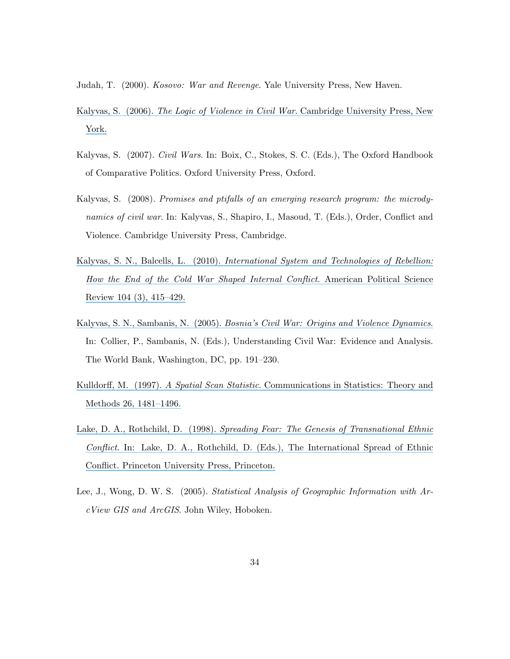Judah, T. (2000). Kosovo: War and Revenge. Yale University Press, New Haven.

- Kalyvas, S. (2006). [The Logic of Violence in Civil War](https://www.researchgate.net/publication/240319231_The_Logic_of_Violence_in_Civil_War?el=1_x_8&enrichId=rgreq-f926c4651b556490546955b65891280c-XXX&enrichSource=Y292ZXJQYWdlOzIyOTQwMDAwMztBUzoxMDM5ODk0NDE5OTA2NThAMTQwMTgwNDQyMzI4NA==). Cambridge University Press, New [York.](https://www.researchgate.net/publication/240319231_The_Logic_of_Violence_in_Civil_War?el=1_x_8&enrichId=rgreq-f926c4651b556490546955b65891280c-XXX&enrichSource=Y292ZXJQYWdlOzIyOTQwMDAwMztBUzoxMDM5ODk0NDE5OTA2NThAMTQwMTgwNDQyMzI4NA==)
- Kalyvas, S. (2007). Civil Wars. In: Boix, C., Stokes, S. C. (Eds.), The Oxford Handbook of Comparative Politics. Oxford University Press, Oxford.
- Kalyvas, S. (2008). Promises and ptifalls of an emerging research program: the microdynamics of civil war. In: Kalyvas, S., Shapiro, I., Masoud, T. (Eds.), Order, Conflict and Violence. Cambridge University Press, Cambridge.
- Kalyvas, S. N., Balcells, L. (2010). [International System and Technologies of Rebellion:](https://www.researchgate.net/publication/232015276_International_System_and_Technologies_of_Rebellion_How_the_End_of_the_Cold_War_Shaped_Internal_Conflict?el=1_x_8&enrichId=rgreq-f926c4651b556490546955b65891280c-XXX&enrichSource=Y292ZXJQYWdlOzIyOTQwMDAwMztBUzoxMDM5ODk0NDE5OTA2NThAMTQwMTgwNDQyMzI4NA==) [How the End of the Cold War Shaped Internal Conflict](https://www.researchgate.net/publication/232015276_International_System_and_Technologies_of_Rebellion_How_the_End_of_the_Cold_War_Shaped_Internal_Conflict?el=1_x_8&enrichId=rgreq-f926c4651b556490546955b65891280c-XXX&enrichSource=Y292ZXJQYWdlOzIyOTQwMDAwMztBUzoxMDM5ODk0NDE5OTA2NThAMTQwMTgwNDQyMzI4NA==). American Political Science [Review 104 \(3\), 415–429.](https://www.researchgate.net/publication/232015276_International_System_and_Technologies_of_Rebellion_How_the_End_of_the_Cold_War_Shaped_Internal_Conflict?el=1_x_8&enrichId=rgreq-f926c4651b556490546955b65891280c-XXX&enrichSource=Y292ZXJQYWdlOzIyOTQwMDAwMztBUzoxMDM5ODk0NDE5OTA2NThAMTQwMTgwNDQyMzI4NA==)
- Kalyvas, S. N., Sambanis, N. (2005). [Bosnia's Civil War: Origins and Violence Dynamics](https://www.researchgate.net/publication/237295666_Bosnia). In: Collier, P., Sambanis, N. (Eds.), Understanding Civil War: Evidence and Analysis. The World Bank, Washington, DC, pp. 191–230.
- Kulldorff, M. (1997). A Spatial Scan Statistic[. Communications in Statistics: Theory and](https://www.researchgate.net/publication/261671964_A_Spatial_Scan_Statistic?el=1_x_8&enrichId=rgreq-f926c4651b556490546955b65891280c-XXX&enrichSource=Y292ZXJQYWdlOzIyOTQwMDAwMztBUzoxMDM5ODk0NDE5OTA2NThAMTQwMTgwNDQyMzI4NA==) [Methods 26, 1481–1496.](https://www.researchgate.net/publication/261671964_A_Spatial_Scan_Statistic?el=1_x_8&enrichId=rgreq-f926c4651b556490546955b65891280c-XXX&enrichSource=Y292ZXJQYWdlOzIyOTQwMDAwMztBUzoxMDM5ODk0NDE5OTA2NThAMTQwMTgwNDQyMzI4NA==)
- Lake, D. A., Rothchild, D. (1998). [Spreading Fear: The Genesis of Transnational Ethnic](https://www.researchgate.net/publication/248736065_Spreading_Fear_The_Genesis_of_Transnational_Ethnic_Conflict?el=1_x_8&enrichId=rgreq-f926c4651b556490546955b65891280c-XXX&enrichSource=Y292ZXJQYWdlOzIyOTQwMDAwMztBUzoxMDM5ODk0NDE5OTA2NThAMTQwMTgwNDQyMzI4NA==) Conflict[. In: Lake, D. A., Rothchild, D. \(Eds.\), The International Spread of Ethnic](https://www.researchgate.net/publication/248736065_Spreading_Fear_The_Genesis_of_Transnational_Ethnic_Conflict?el=1_x_8&enrichId=rgreq-f926c4651b556490546955b65891280c-XXX&enrichSource=Y292ZXJQYWdlOzIyOTQwMDAwMztBUzoxMDM5ODk0NDE5OTA2NThAMTQwMTgwNDQyMzI4NA==) [Conflict. Princeton University Press, Princeton.](https://www.researchgate.net/publication/248736065_Spreading_Fear_The_Genesis_of_Transnational_Ethnic_Conflict?el=1_x_8&enrichId=rgreq-f926c4651b556490546955b65891280c-XXX&enrichSource=Y292ZXJQYWdlOzIyOTQwMDAwMztBUzoxMDM5ODk0NDE5OTA2NThAMTQwMTgwNDQyMzI4NA==)
- Lee, J., Wong, D. W. S. (2005). Statistical Analysis of Geographic Information with ArcView GIS and ArcGIS. John Wiley, Hoboken.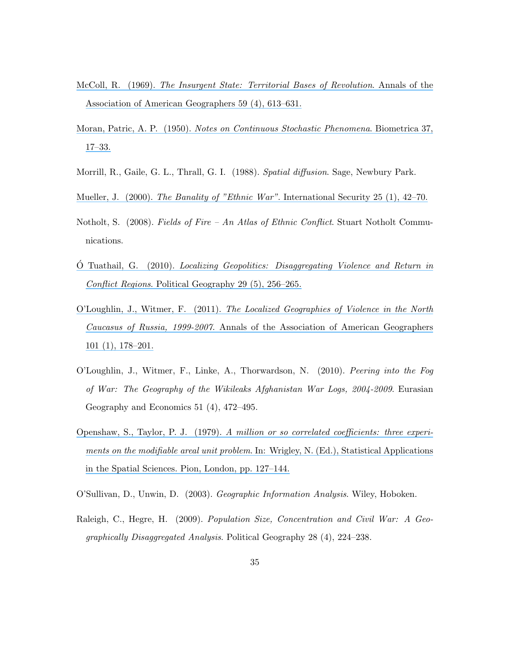- McColl, R. (1969). [The Insurgent State: Territorial Bases of Revolution](https://www.researchgate.net/publication/232913516_The_Insurgent_State_Territorial_Bases_of_Revolution?el=1_x_8&enrichId=rgreq-f926c4651b556490546955b65891280c-XXX&enrichSource=Y292ZXJQYWdlOzIyOTQwMDAwMztBUzoxMDM5ODk0NDE5OTA2NThAMTQwMTgwNDQyMzI4NA==). Annals of the [Association of American Geographers 59 \(4\), 613–631.](https://www.researchgate.net/publication/232913516_The_Insurgent_State_Territorial_Bases_of_Revolution?el=1_x_8&enrichId=rgreq-f926c4651b556490546955b65891280c-XXX&enrichSource=Y292ZXJQYWdlOzIyOTQwMDAwMztBUzoxMDM5ODk0NDE5OTA2NThAMTQwMTgwNDQyMzI4NA==)
- Moran, Patric, A. P. (1950). [Notes on Continuous Stochastic Phenomena](https://www.researchgate.net/publication/8295498_Notes_on_Continuous_Stochastic_Phenomena?el=1_x_8&enrichId=rgreq-f926c4651b556490546955b65891280c-XXX&enrichSource=Y292ZXJQYWdlOzIyOTQwMDAwMztBUzoxMDM5ODk0NDE5OTA2NThAMTQwMTgwNDQyMzI4NA==). Biometrica 37, [17–33.](https://www.researchgate.net/publication/8295498_Notes_on_Continuous_Stochastic_Phenomena?el=1_x_8&enrichId=rgreq-f926c4651b556490546955b65891280c-XXX&enrichSource=Y292ZXJQYWdlOzIyOTQwMDAwMztBUzoxMDM5ODk0NDE5OTA2NThAMTQwMTgwNDQyMzI4NA==)
- Morrill, R., Gaile, G. L., Thrall, G. I. (1988). Spatial diffusion. Sage, Newbury Park.
- Mueller, J. (2000). The Banality of "Ethnic War"[. International Security 25 \(1\), 42–70.](https://www.researchgate.net/publication/237370874_The_Banality_of_Ethnic_War?el=1_x_8&enrichId=rgreq-f926c4651b556490546955b65891280c-XXX&enrichSource=Y292ZXJQYWdlOzIyOTQwMDAwMztBUzoxMDM5ODk0NDE5OTA2NThAMTQwMTgwNDQyMzI4NA==)
- Notholt, S. (2008). Fields of Fire An Atlas of Ethnic Conflict. Stuart Notholt Communications.
- $\acute{O}$  Tuathail, G. (2010). *[Localizing Geopolitics: Disaggregating Violence and Return in](https://www.researchgate.net/publication/248442262_Localizing_Geopolitics_Disaggregating_Violence_and_Return_in_Conflict_Regions?el=1_x_8&enrichId=rgreq-f926c4651b556490546955b65891280c-XXX&enrichSource=Y292ZXJQYWdlOzIyOTQwMDAwMztBUzoxMDM5ODk0NDE5OTA2NThAMTQwMTgwNDQyMzI4NA==)* Conflict Regions[. Political Geography 29 \(5\), 256–265.](https://www.researchgate.net/publication/248442262_Localizing_Geopolitics_Disaggregating_Violence_and_Return_in_Conflict_Regions?el=1_x_8&enrichId=rgreq-f926c4651b556490546955b65891280c-XXX&enrichSource=Y292ZXJQYWdlOzIyOTQwMDAwMztBUzoxMDM5ODk0NDE5OTA2NThAMTQwMTgwNDQyMzI4NA==)
- O'Loughlin, J., Witmer, F. (2011). [The Localized Geographies of Violence in the North](https://www.researchgate.net/publication/239912119_The_Localized_Geographies_of_Violence_in_the_North_Caucasus_of_Russia_1999-2007?el=1_x_8&enrichId=rgreq-f926c4651b556490546955b65891280c-XXX&enrichSource=Y292ZXJQYWdlOzIyOTQwMDAwMztBUzoxMDM5ODk0NDE5OTA2NThAMTQwMTgwNDQyMzI4NA==) Caucasus of Russia, 1999-2007[. Annals of the Association of American Geographers](https://www.researchgate.net/publication/239912119_The_Localized_Geographies_of_Violence_in_the_North_Caucasus_of_Russia_1999-2007?el=1_x_8&enrichId=rgreq-f926c4651b556490546955b65891280c-XXX&enrichSource=Y292ZXJQYWdlOzIyOTQwMDAwMztBUzoxMDM5ODk0NDE5OTA2NThAMTQwMTgwNDQyMzI4NA==) [101 \(1\), 178–201.](https://www.researchgate.net/publication/239912119_The_Localized_Geographies_of_Violence_in_the_North_Caucasus_of_Russia_1999-2007?el=1_x_8&enrichId=rgreq-f926c4651b556490546955b65891280c-XXX&enrichSource=Y292ZXJQYWdlOzIyOTQwMDAwMztBUzoxMDM5ODk0NDE5OTA2NThAMTQwMTgwNDQyMzI4NA==)
- O'Loughlin, J., Witmer, F., Linke, A., Thorwardson, N. (2010). Peering into the Fog of War: The Geography of the Wikileaks Afghanistan War Logs, 2004-2009. Eurasian Geography and Economics 51 (4), 472–495.
- Openshaw, S., Taylor, P. J. (1979). [A million or so correlated coefficients: three experi](https://www.researchgate.net/publication/232128816_A_million_or_so_correlation_coefficients_Three_experiments_on_the_modifiable_areal_unit_problem?el=1_x_8&enrichId=rgreq-f926c4651b556490546955b65891280c-XXX&enrichSource=Y292ZXJQYWdlOzIyOTQwMDAwMztBUzoxMDM5ODk0NDE5OTA2NThAMTQwMTgwNDQyMzI4NA==)ments on the modifiable areal unit problem[. In: Wrigley, N. \(Ed.\), Statistical Applications](https://www.researchgate.net/publication/232128816_A_million_or_so_correlation_coefficients_Three_experiments_on_the_modifiable_areal_unit_problem?el=1_x_8&enrichId=rgreq-f926c4651b556490546955b65891280c-XXX&enrichSource=Y292ZXJQYWdlOzIyOTQwMDAwMztBUzoxMDM5ODk0NDE5OTA2NThAMTQwMTgwNDQyMzI4NA==) [in the Spatial Sciences. Pion, London, pp. 127–144.](https://www.researchgate.net/publication/232128816_A_million_or_so_correlation_coefficients_Three_experiments_on_the_modifiable_areal_unit_problem?el=1_x_8&enrichId=rgreq-f926c4651b556490546955b65891280c-XXX&enrichSource=Y292ZXJQYWdlOzIyOTQwMDAwMztBUzoxMDM5ODk0NDE5OTA2NThAMTQwMTgwNDQyMzI4NA==)
- O'Sullivan, D., Unwin, D. (2003). Geographic Information Analysis. Wiley, Hoboken.
- Raleigh, C., Hegre, H. (2009). Population Size, Concentration and Civil War: A Geographically Disaggregated Analysis. Political Geography 28 (4), 224–238.